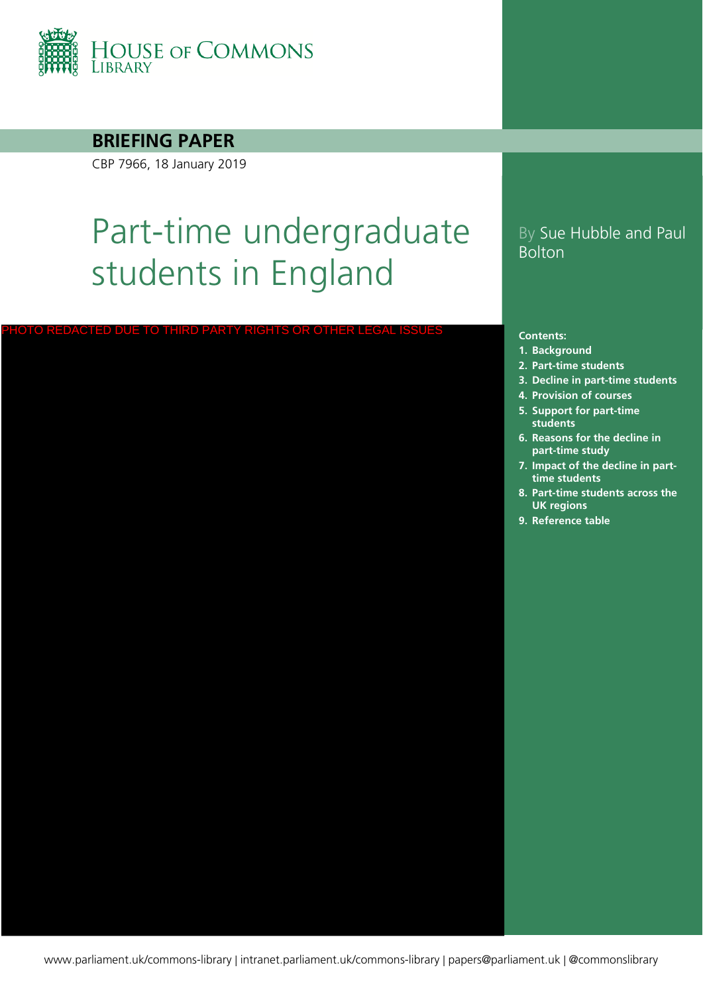

#### **BRIEFING PAPER**

CBP 7966, 18 January 2019

# Part-time undergraduate students in England

<u>DUE TO THIRD PARTY RIGHTS OR OTHER</u>

### By Sue Hubble and Paul Bolton

#### **Contents:**

- **1. [Background](#page-3-0)**
- **2. [Part-time students](#page-5-0)**
- **3. [Decline in part-time students](#page-8-0)**
- **4. [Provision of courses](#page-9-0)**
- **5. [Support for part-time](#page-11-0)  students**
- **6. [Reasons for the decline in](#page-15-0)  part-time study**
- **7. [Impact of the decline in part](#page-19-0)time students**
- **8. [Part-time students across the](#page-23-0)  UK regions**
- **9. [Reference table](#page-25-0)**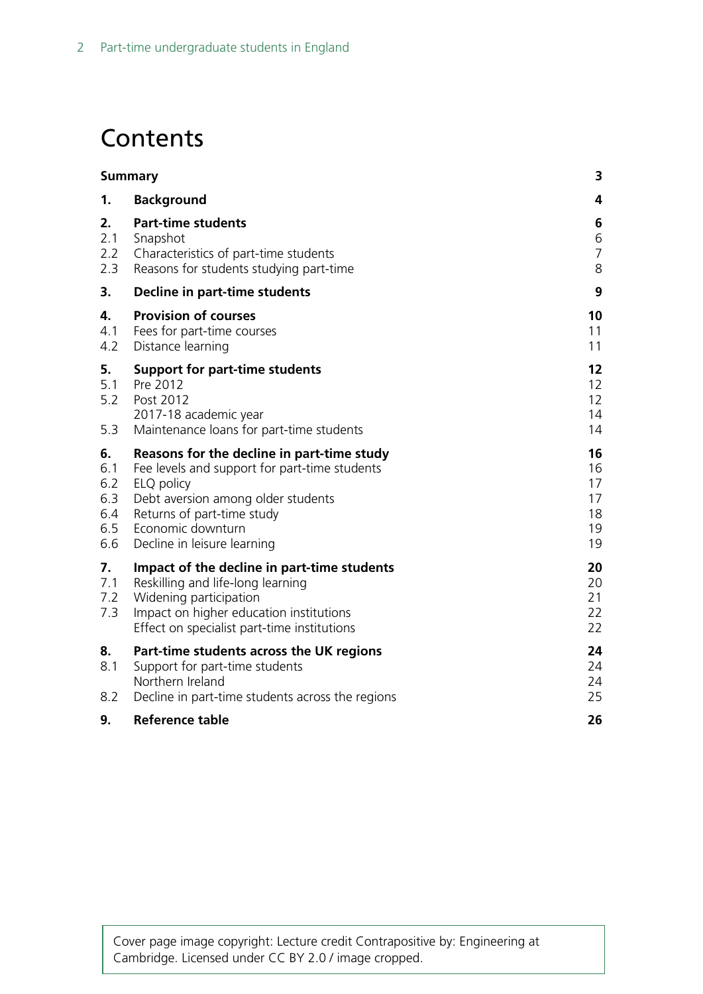# **Contents**

|                                              | <b>Summary</b>                                                                                                                                                                                                                    | 3                                      |
|----------------------------------------------|-----------------------------------------------------------------------------------------------------------------------------------------------------------------------------------------------------------------------------------|----------------------------------------|
| 1.                                           | <b>Background</b>                                                                                                                                                                                                                 | 4                                      |
| 2.<br>2.1<br>2.2<br>2.3                      | <b>Part-time students</b><br>Snapshot<br>Characteristics of part-time students<br>Reasons for students studying part-time                                                                                                         | 6<br>6<br>$\overline{7}$<br>8          |
| 3.                                           | Decline in part-time students                                                                                                                                                                                                     | 9                                      |
| 4.<br>4.1<br>4.2                             | <b>Provision of courses</b><br>Fees for part-time courses<br>Distance learning                                                                                                                                                    | 10<br>11<br>11                         |
| 5.<br>5.1<br>5.2<br>5.3                      | <b>Support for part-time students</b><br>Pre 2012<br>Post 2012<br>2017-18 academic year<br>Maintenance loans for part-time students                                                                                               | 12<br>12<br>12<br>14<br>14             |
| 6.<br>6.1<br>6.2<br>6.3<br>6.4<br>6.5<br>6.6 | Reasons for the decline in part-time study<br>Fee levels and support for part-time students<br>ELQ policy<br>Debt aversion among older students<br>Returns of part-time study<br>Economic downturn<br>Decline in leisure learning | 16<br>16<br>17<br>17<br>18<br>19<br>19 |
| 7.<br>7.1<br>7.2<br>7.3                      | Impact of the decline in part-time students<br>Reskilling and life-long learning<br>Widening participation<br>Impact on higher education institutions<br>Effect on specialist part-time institutions                              | 20<br>20<br>21<br>22<br>22             |
| 8.<br>8.1<br>8.2                             | Part-time students across the UK regions<br>Support for part-time students<br>Northern Ireland<br>Decline in part-time students across the regions                                                                                | 24<br>24<br>24<br>25                   |
| 9.                                           | <b>Reference table</b>                                                                                                                                                                                                            | 26                                     |

Cover page image copyright: Lecture credit Contrapositive by: Engineering at Cambridge. Licensed under CC BY 2.0 / image cropped.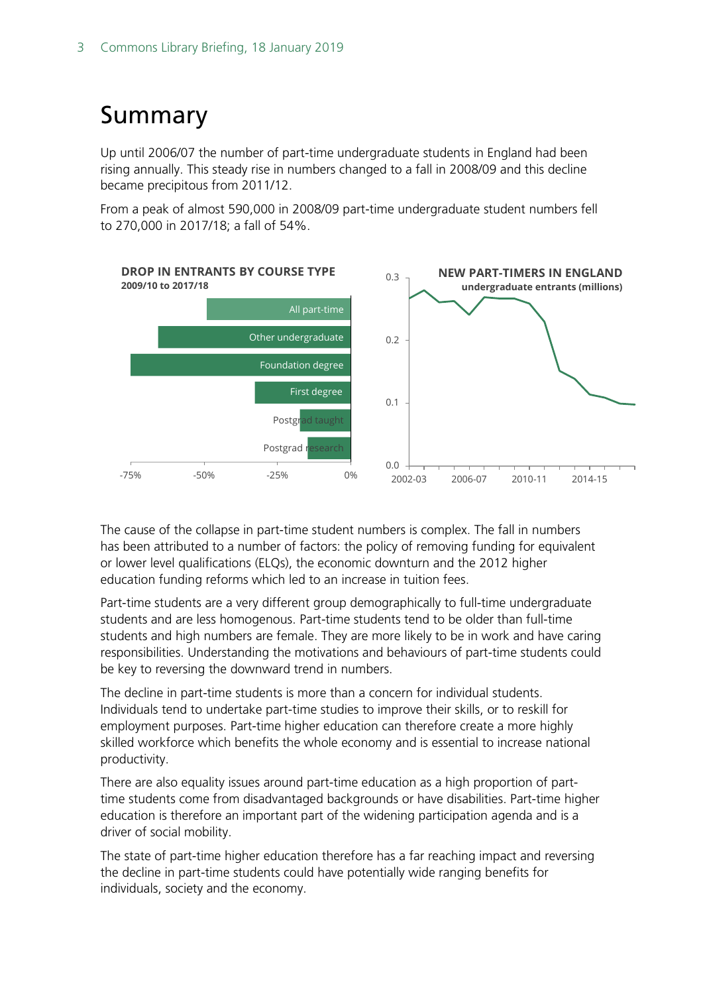# <span id="page-2-0"></span>Summary

Up until 2006/07 the number of part-time undergraduate students in England had been rising annually. This steady rise in numbers changed to a fall in 2008/09 and this decline became precipitous from 2011/12.

From a peak of almost 590,000 in 2008/09 part-time undergraduate student numbers fell to 270,000 in 2017/18; a fall of 54%.



The cause of the collapse in part-time student numbers is complex. The fall in numbers has been attributed to a number of factors: the policy of removing funding for equivalent or lower level qualifications (ELQs), the economic downturn and the 2012 higher education funding reforms which led to an increase in tuition fees.

Part-time students are a very different group demographically to full-time undergraduate students and are less homogenous. Part-time students tend to be older than full-time students and high numbers are female. They are more likely to be in work and have caring responsibilities. Understanding the motivations and behaviours of part-time students could be key to reversing the downward trend in numbers.

The decline in part-time students is more than a concern for individual students. Individuals tend to undertake part-time studies to improve their skills, or to reskill for employment purposes. Part-time higher education can therefore create a more highly skilled workforce which benefits the whole economy and is essential to increase national productivity.

There are also equality issues around part-time education as a high proportion of parttime students come from disadvantaged backgrounds or have disabilities. Part-time higher education is therefore an important part of the widening participation agenda and is a driver of social mobility.

The state of part-time higher education therefore has a far reaching impact and reversing the decline in part-time students could have potentially wide ranging benefits for individuals, society and the economy.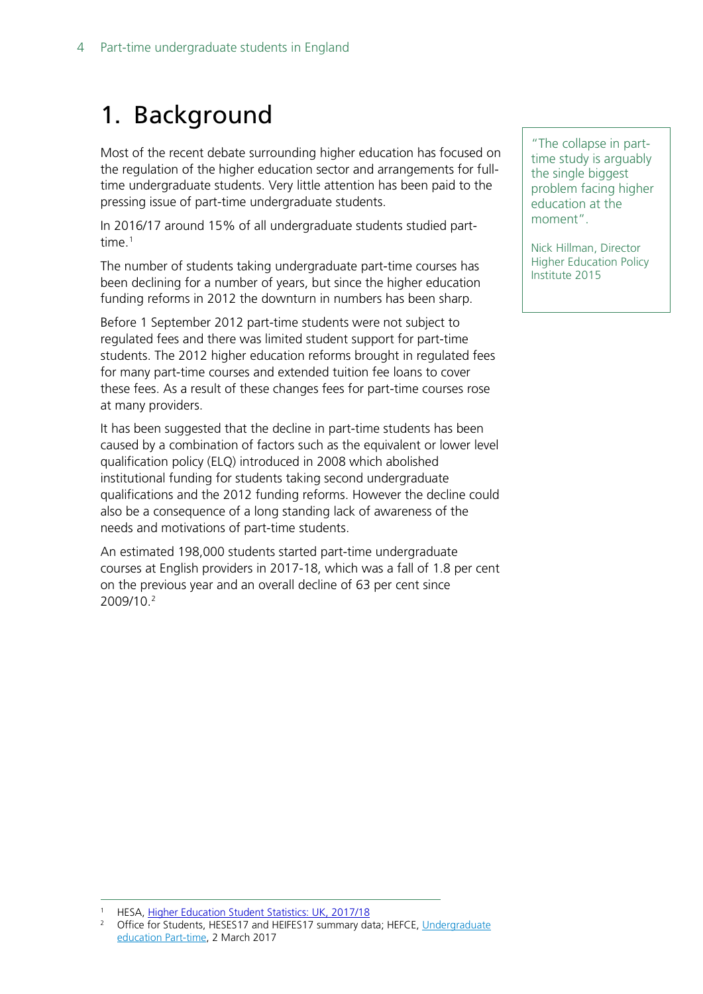# <span id="page-3-0"></span>1. Background

Most of the recent debate surrounding higher education has focused on the regulation of the higher education sector and arrangements for fulltime undergraduate students. Very little attention has been paid to the pressing issue of part-time undergraduate students.

In 2016/17 around 15% of all undergraduate students studied parttime.<sup>1</sup>

The number of students taking undergraduate part-time courses has been declining for a number of years, but since the higher education funding reforms in 2012 the downturn in numbers has been sharp.

Before 1 September 2012 part-time students were not subject to regulated fees and there was limited student support for part-time students. The 2012 higher education reforms brought in regulated fees for many part-time courses and extended tuition fee loans to cover these fees. As a result of these changes fees for part-time courses rose at many providers.

It has been suggested that the decline in part-time students has been caused by a combination of factors such as the equivalent or lower level qualification policy (ELQ) introduced in 2008 which abolished institutional funding for students taking second undergraduate qualifications and the 2012 funding reforms. However the decline could also be a consequence of a long standing lack of awareness of the needs and motivations of part-time students.

An estimated 198,000 students started part-time undergraduate courses at English providers in 2017-18, which was a fall of 1.8 per cent on the previous year and an overall decline of 63 per cent since 2009/10. [2](#page-3-2)

"The collapse in parttime study is arguably the single biggest problem facing higher education at the moment".

Nick Hillman, Director Higher Education Policy Institute 2015

<span id="page-3-2"></span><span id="page-3-1"></span><sup>&</sup>lt;sup>1</sup> HESA, [Higher Education Student Statistics: UK, 2017/18](https://www.hesa.ac.uk/news/17-01-2019/sb252-higher-education-student-statistics)

Office for Students, HESES17 and HEIFES17 summary data; HEFCE, Undergraduate [education Part-time,](http://www.hefce.ac.uk/analysis/HEinEngland/undergraduate/parttime/) 2 March 2017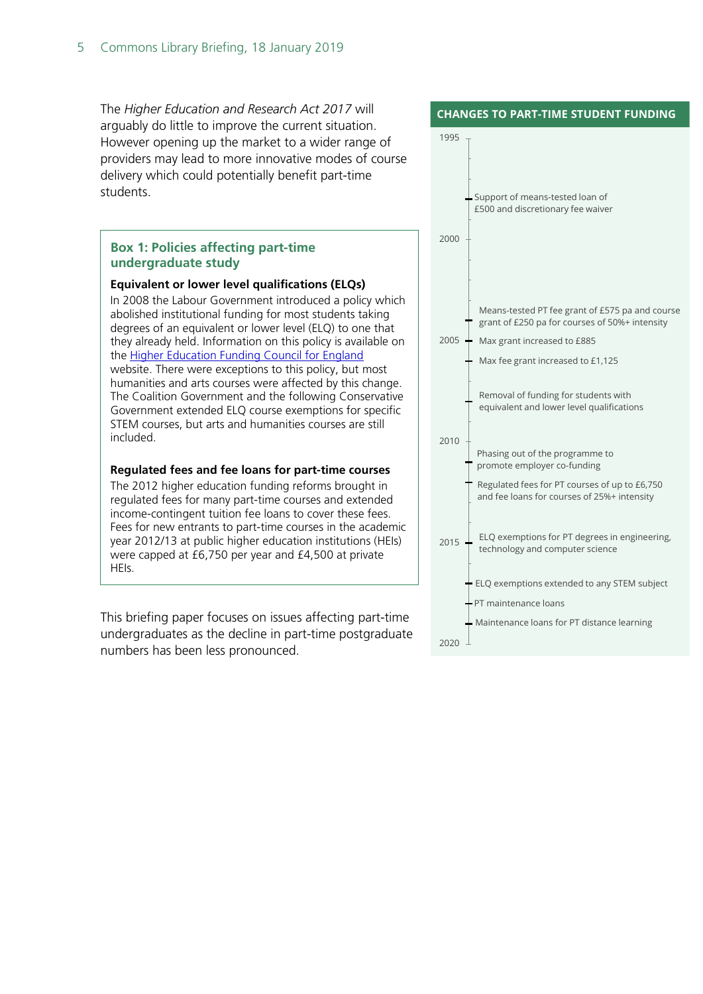The *Higher Education and Research Act 2017* will arguably do little to improve the current situation. However opening up the market to a wider range of providers may lead to more innovative modes of course delivery which could potentially benefit part-time students.

#### **Box 1: Policies affecting part-time undergraduate study**

#### **Equivalent or lower level qualifications (ELQs)**

In 2008 the Labour Government introduced a policy which abolished institutional funding for most students taking degrees of an equivalent or lower level (ELQ) to one that they already held. Information on this policy is available on the [Higher Education Funding Council for England](http://www.hefce.ac.uk/lt/elqs/) website. There were exceptions to this policy, but most humanities and arts courses were affected by this change. The Coalition Government and the following Conservative Government extended ELQ course exemptions for specific STEM courses, but arts and humanities courses are still included.

#### **Regulated fees and fee loans for part-time courses**

The 2012 higher education funding reforms brought in regulated fees for many part-time courses and extended income-contingent tuition fee loans to cover these fees. Fees for new entrants to part-time courses in the academic year 2012/13 at public higher education institutions (HEIs) were capped at £6,750 per year and £4,500 at private HEIs.

This briefing paper focuses on issues affecting part-time undergraduates as the decline in part-time postgraduate numbers has been less pronounced.

#### **CHANGES TO PART-TIME STUDENT FUNDING**

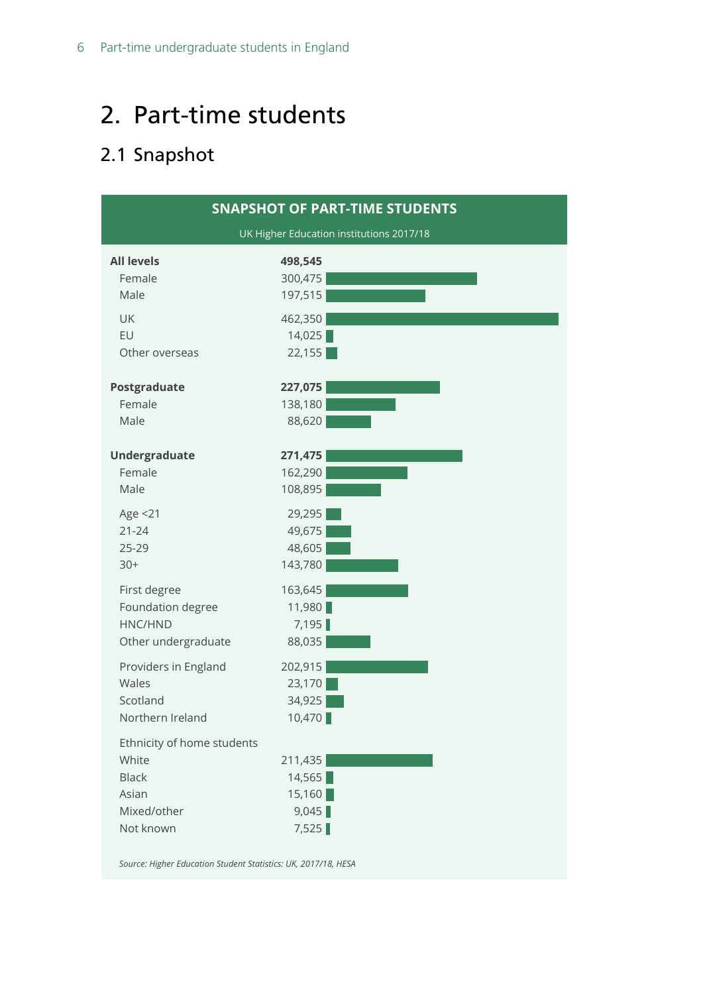# <span id="page-5-0"></span>2. Part-time students

## <span id="page-5-1"></span>2.1 Snapshot



*Source: Higher Education Student Statistics: UK, 2017/18, HESA*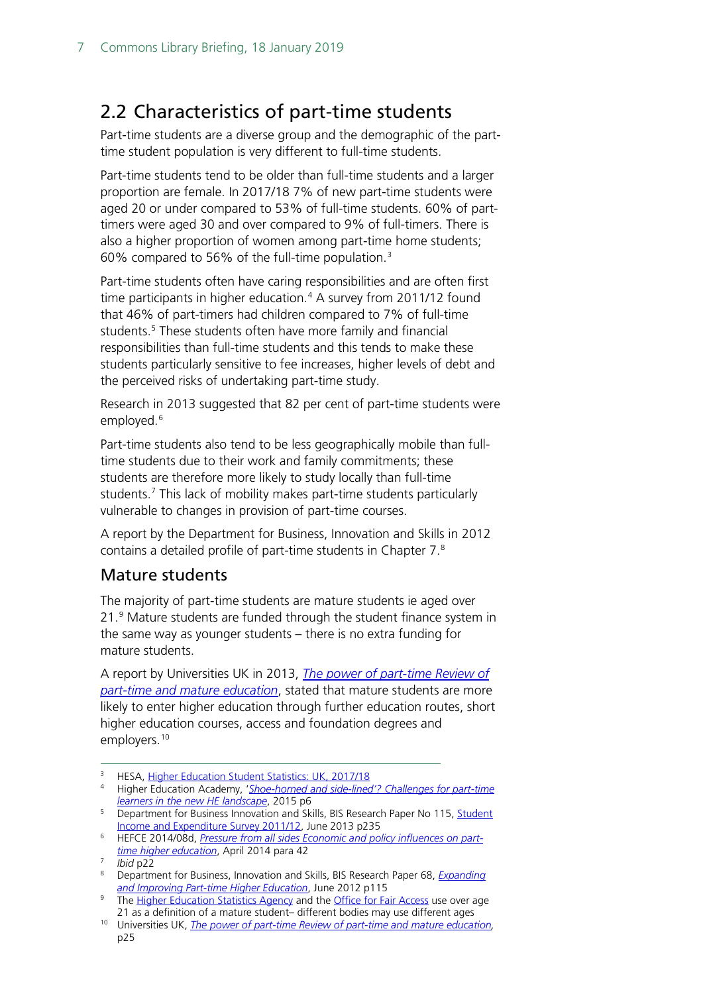## <span id="page-6-0"></span>2.2 Characteristics of part-time students

Part-time students are a diverse group and the demographic of the parttime student population is very different to full-time students.

Part-time students tend to be older than full-time students and a larger proportion are female. In 2017/18 7% of new part-time students were aged 20 or under compared to 53% of full-time students. 60% of parttimers were aged 30 and over compared to 9% of full-timers. There is also a higher proportion of women among part-time home students; 60% compared to 56% of the full-time population. [3](#page-6-1)

Part-time students often have caring responsibilities and are often first time participants in higher education.<sup>[4](#page-6-2)</sup> A survey from 2011/12 found that 46% of part-timers had children compared to 7% of full-time students.<sup>[5](#page-6-3)</sup> These students often have more family and financial responsibilities than full-time students and this tends to make these students particularly sensitive to fee increases, higher levels of debt and the perceived risks of undertaking part-time study.

Research in 2013 suggested that 82 per cent of part-time students were employed.<sup>[6](#page-6-4)</sup>

Part-time students also tend to be less geographically mobile than fulltime students due to their work and family commitments; these students are therefore more likely to study locally than full-time students.<sup>[7](#page-6-5)</sup> This lack of mobility makes part-time students particularly vulnerable to changes in provision of part-time courses.

A report by the Department for Business, Innovation and Skills in 2012 contains a detailed profile of part-time students in Chapter 7[.8](#page-6-6)

#### Mature students

The majority of part-time students are mature students ie aged over 21.[9](#page-6-7) Mature students are funded through the student finance system in the same way as younger students – there is no extra funding for mature students.

A report by Universities UK in 2013, *[The power of part-time Review of](http://www.universitiesuk.ac.uk/policy-and-analysis/reports/Documents/2013/power-of-part-time.pdf)  [part-time and mature education](http://www.universitiesuk.ac.uk/policy-and-analysis/reports/Documents/2013/power-of-part-time.pdf)*, stated that mature students are more likely to enter higher education through further education routes, short higher education courses, access and foundation degrees and employers.<sup>[10](#page-6-8)</sup>

<span id="page-6-2"></span><span id="page-6-1"></span><sup>&</sup>lt;sup>3</sup> HESA, <u>Higher Education Student Statistics: UK, 2017/18</u>

<sup>4</sup> Higher Education Academy, '*[Shoe-horned and side-lined'? Challenges for part-time](https://www.heacademy.ac.uk/system/files/resources/Challenges%20for%20part-time%20learners.pdf)  [learners in the new HE landscape](https://www.heacademy.ac.uk/system/files/resources/Challenges%20for%20part-time%20learners.pdf)*, 2015 p6

<span id="page-6-3"></span><sup>&</sup>lt;sup>5</sup> Department for Business Innovation and Skills, BIS Research Paper No 115, Student [Income and Expenditure Survey 2011/12,](http://dera.ioe.ac.uk/17925/1/bis-13-P190-student-income-expenditure-survey-2011-12.pdf) June 2013 p235

<span id="page-6-4"></span><sup>6</sup> HEFCE 2014/08d, *[Pressure from all sides Economic and policy influences on part](http://www.hefce.ac.uk/media/hefce/content/pubs/2014/201408d/HEFE2014_08d.pdf)[time higher education](http://www.hefce.ac.uk/media/hefce/content/pubs/2014/201408d/HEFE2014_08d.pdf)*, April 2014 para 42

*Ibid* p22

<span id="page-6-6"></span><span id="page-6-5"></span><sup>8</sup> Department for Business, Innovation and Skills, BIS Research Paper 68, *[Expanding](http://dera.ioe.ac.uk/14786/1/12-906-expanding-improving-part-time-higher-education)  [and Improving Part-time Higher Education](http://dera.ioe.ac.uk/14786/1/12-906-expanding-improving-part-time-higher-education)*, June 2012 p115

<span id="page-6-7"></span><sup>&</sup>lt;sup>9</sup> The [Higher Education Statistics Agency](https://www.hesa.ac.uk/data-and-analysis/performance-indicators/definitions) and the [Office for Fair Access](https://www.hesa.ac.uk/data-and-analysis/performance-indicators/widening-participation) use over age 21 as a definition of a mature student– different bodies may use different ages

<span id="page-6-8"></span><sup>10</sup> Universities UK, *[The power of part-time Review of part-time and mature education,](http://www.universitiesuk.ac.uk/policy-and-analysis/reports/Documents/2013/power-of-part-time.pdf)*  p25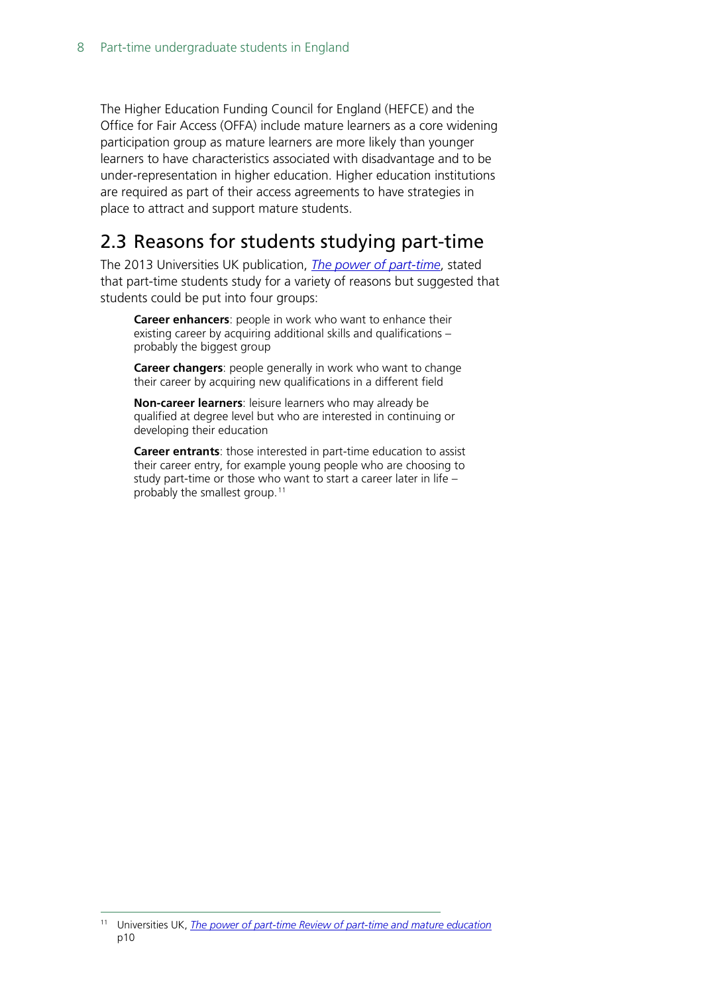The Higher Education Funding Council for England (HEFCE) and the Office for Fair Access (OFFA) include mature learners as a core widening participation group as mature learners are more likely than younger learners to have characteristics associated with disadvantage and to be under-representation in higher education. Higher education institutions are required as part of their access agreements to have strategies in place to attract and support mature students.

## <span id="page-7-0"></span>2.3 Reasons for students studying part-time

The 2013 Universities UK publication, *[The power of part-time](http://www.universitiesuk.ac.uk/policy-and-analysis/reports/Documents/2013/power-of-part-time.pdf)*, stated that part-time students study for a variety of reasons but suggested that students could be put into four groups:

**Career enhancers**: people in work who want to enhance their existing career by acquiring additional skills and qualifications – probably the biggest group

**Career changers**: people generally in work who want to change their career by acquiring new qualifications in a different field

**Non-career learners**: leisure learners who may already be qualified at degree level but who are interested in continuing or developing their education

**Career entrants**: those interested in part-time education to assist their career entry, for example young people who are choosing to study part-time or those who want to start a career later in life – probably the smallest group.<sup>[11](#page-7-1)</sup>

<span id="page-7-1"></span> <sup>11</sup> Universities UK, *[The power of part-time Review of part-time and mature education](http://www.universitiesuk.ac.uk/policy-and-analysis/reports/Documents/2013/power-of-part-time.pdf)* p10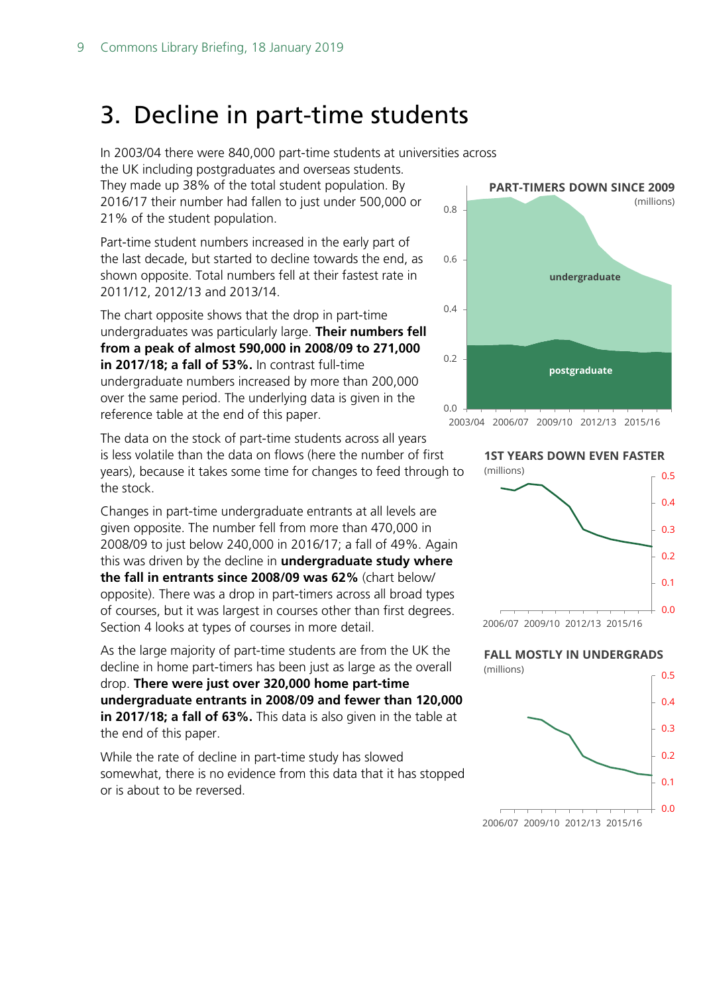## <span id="page-8-0"></span>3. Decline in part-time students

In 2003/04 there were 840,000 part-time students at universities across the UK including postgraduates and overseas students.

They made up 38% of the total student population. By 2016/17 their number had fallen to just under 500,000 or 21% of the student population.

Part-time student numbers increased in the early part of the last decade, but started to decline towards the end, as shown opposite. Total numbers fell at their fastest rate in 2011/12, 2012/13 and 2013/14.

The chart opposite shows that the drop in part-time undergraduates was particularly large. **Their numbers fell from a peak of almost 590,000 in 2008/09 to 271,000 in 2017/18; a fall of 53%.** In contrast full-time undergraduate numbers increased by more than 200,000 over the same period. The underlying data is given in the reference table at the end of this paper.

The data on the stock of part-time students across all years is less volatile than the data on flows (here the number of first years), because it takes some time for changes to feed through to the stock.

Changes in part-time undergraduate entrants at all levels are given opposite. The number fell from more than 470,000 in 2008/09 to just below 240,000 in 2016/17; a fall of 49%. Again this was driven by the decline in **undergraduate study where the fall in entrants since 2008/09 was 62%** (chart below/ opposite). There was a drop in part-timers across all broad types of courses, but it was largest in courses other than first degrees. Section 4 looks at types of courses in more detail.

As the large majority of part-time students are from the UK the decline in home part-timers has been just as large as the overall drop. **There were just over 320,000 home part-time undergraduate entrants in 2008/09 and fewer than 120,000 in 2017/18; a fall of 63%.** This data is also given in the table at the end of this paper.

While the rate of decline in part-time study has slowed somewhat, there is no evidence from this data that it has stopped or is about to be reversed.



**1ST YEARS DOWN EVEN FASTER** (millions)



**FALL MOSTLY IN UNDERGRADS**

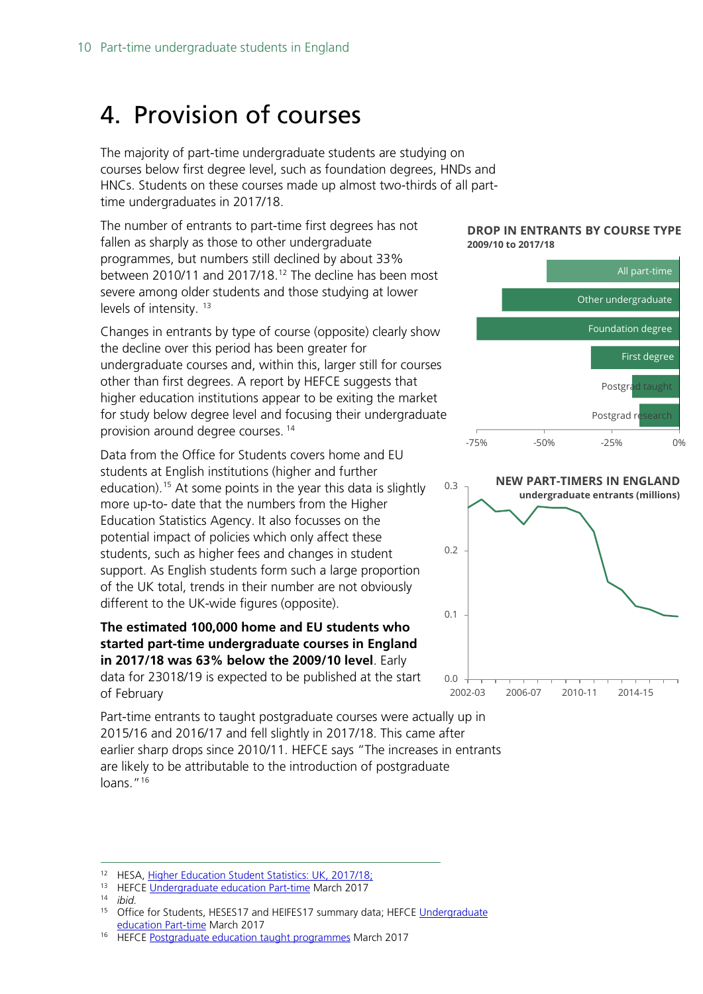# <span id="page-9-0"></span>4. Provision of courses

The majority of part-time undergraduate students are studying on courses below first degree level, such as foundation degrees, HNDs and HNCs. Students on these courses made up almost two-thirds of all parttime undergraduates in 2017/18.

The number of entrants to part-time first degrees has not fallen as sharply as those to other undergraduate programmes, but numbers still declined by about 33% between 2010/11 and 2017/18. [12](#page-9-1) The decline has been most severe among older students and those studying at lower levels of intensity.<sup>[13](#page-9-2)</sup>

Changes in entrants by type of course (opposite) clearly show the decline over this period has been greater for undergraduate courses and, within this, larger still for courses other than first degrees. A report by HEFCE suggests that higher education institutions appear to be exiting the market for study below degree level and focusing their undergraduate provision around degree courses. [14](#page-9-3)

Data from the Office for Students covers home and EU students at English institutions (higher and further education).<sup>[15](#page-9-4)</sup> At some points in the year this data is slightly more up-to- date that the numbers from the Higher Education Statistics Agency. It also focusses on the potential impact of policies which only affect these students, such as higher fees and changes in student support. As English students form such a large proportion of the UK total, trends in their number are not obviously different to the UK-wide figures (opposite).

#### **The estimated 100,000 home and EU students who started part-time undergraduate courses in England in 2017/18 was 63% below the 2009/10 level**. Early data for 23018/19 is expected to be published at the start of February

Part-time entrants to taught postgraduate courses were actually up in 2015/16 and 2016/17 and fell slightly in 2017/18. This came after earlier sharp drops since 2010/11. HEFCE says "The increases in entrants are likely to be attributable to the introduction of postgraduate loans."<sup>[16](#page-9-5)</sup>







<span id="page-9-3"></span><span id="page-9-2"></span><span id="page-9-1"></span><sup>&</sup>lt;sup>12</sup> HESA, Higher Education Student Statistics: UK, 2017/18;<br><sup>13</sup> HEFCE [Undergraduate education Part-time](http://www.hefce.ac.uk/analysis/HEinEngland/undergraduate/parttime/) March 2017

<span id="page-9-4"></span>

<span id="page-9-5"></span> $14$  *ibid.*<br> $15$  Offic

Office for Students, HESES17 and HEIFES17 summary data; HEFCE Undergraduate [education Part-time](http://www.hefce.ac.uk/analysis/HEinEngland/undergraduate/parttime/) March 2017

<span id="page-9-6"></span><sup>16</sup> HEFCE [Postgraduate education taught programmes](http://www.hefce.ac.uk/analysis/HEinEngland/postgrad/) March 2017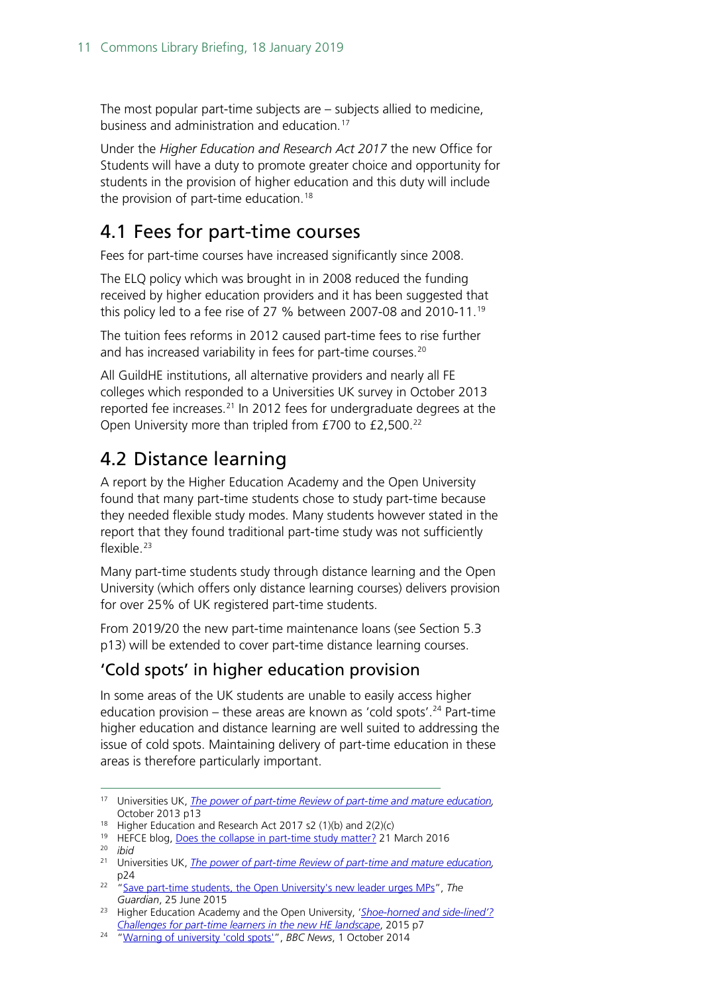The most popular part-time subjects are – subjects allied to medicine, business and administration and education.[17](#page-9-6)

Under the *Higher Education and Research Act 2017* the new Office for Students will have a duty to promote greater choice and opportunity for students in the provision of higher education and this duty will include the provision of part-time education.[18](#page-10-2)

## <span id="page-10-0"></span>4.1 Fees for part-time courses

Fees for part-time courses have increased significantly since 2008.

The ELQ policy which was brought in in 2008 reduced the funding received by higher education providers and it has been suggested that this policy led to a fee rise of 27 % between 2007-08 and 2010-11. [19](#page-10-3)

The tuition fees reforms in 2012 caused part-time fees to rise further and has increased variability in fees for part-time courses.<sup>[20](#page-10-4)</sup>

All GuildHE institutions, all alternative providers and nearly all FE colleges which responded to a Universities UK survey in October 2013 reported fee increases. [21](#page-10-5) In 2012 fees for undergraduate degrees at the Open University more than tripled from £700 to £2,500. [22](#page-10-6)

## <span id="page-10-1"></span>4.2 Distance learning

A report by the Higher Education Academy and the Open University found that many part-time students chose to study part-time because they needed flexible study modes. Many students however stated in the report that they found traditional part-time study was not sufficiently flexible. $23$ 

Many part-time students study through distance learning and the Open University (which offers only distance learning courses) delivers provision for over 25% of UK registered part-time students.

From 2019/20 the new part-time maintenance loans (see Section 5.3 p13) will be extended to cover part-time distance learning courses.

### 'Cold spots' in higher education provision

In some areas of the UK students are unable to easily access higher education provision – these areas are known as 'cold spots'.<sup>[24](#page-10-8)</sup> Part-time higher education and distance learning are well suited to addressing the issue of cold spots. Maintaining delivery of part-time education in these areas is therefore particularly important.

<span id="page-10-2"></span><sup>18</sup> Higher Education and Research Act 2017 s2 (1)(b) and 2(2)(c)

 <sup>17</sup> Universities UK, *[The power of part-time Review of part-time and mature education,](http://www.universitiesuk.ac.uk/policy-and-analysis/reports/Documents/2013/power-of-part-time.pdf)*  October 2013 p13

<sup>&</sup>lt;sup>19</sup> HEFCE blog, [Does the collapse in part-time study matter?](http://blog.hefce.ac.uk/2016/03/21/does-the-collapse-in-part-time-study-matter/) 21 March 2016

<span id="page-10-4"></span><span id="page-10-3"></span><sup>20</sup> *ibid*

<span id="page-10-5"></span><sup>21</sup> Universities UK, *[The power of part-time Review of part-time and mature education,](http://www.universitiesuk.ac.uk/policy-and-analysis/reports/Documents/2013/power-of-part-time.pdf)*  p24

<span id="page-10-6"></span><sup>&</sup>lt;sup>22</sup> ["Save part-time students, the Open University's new leader urges MPs"](https://www.theguardian.com/higher-education-network/2015/jun/25/save-part-time-students-the-open-universitys-new-leader-urges-mps), The *Guardian*, 25 June 2015

<span id="page-10-7"></span><sup>23</sup> Higher Education Academy and the Open University, '*[Shoe-horned and side-lined'?](https://www.heacademy.ac.uk/system/files/resources/Challenges%20for%20part-time%20learners.pdf)  [Challenges for part-time learners in the new HE landscape](https://www.heacademy.ac.uk/system/files/resources/Challenges%20for%20part-time%20learners.pdf)*, 2015 p7

<span id="page-10-8"></span><sup>24</sup> ["Warning of university 'cold spots'"](http://www.bbc.co.uk/news/education-29416791), *BBC News*, 1 October 2014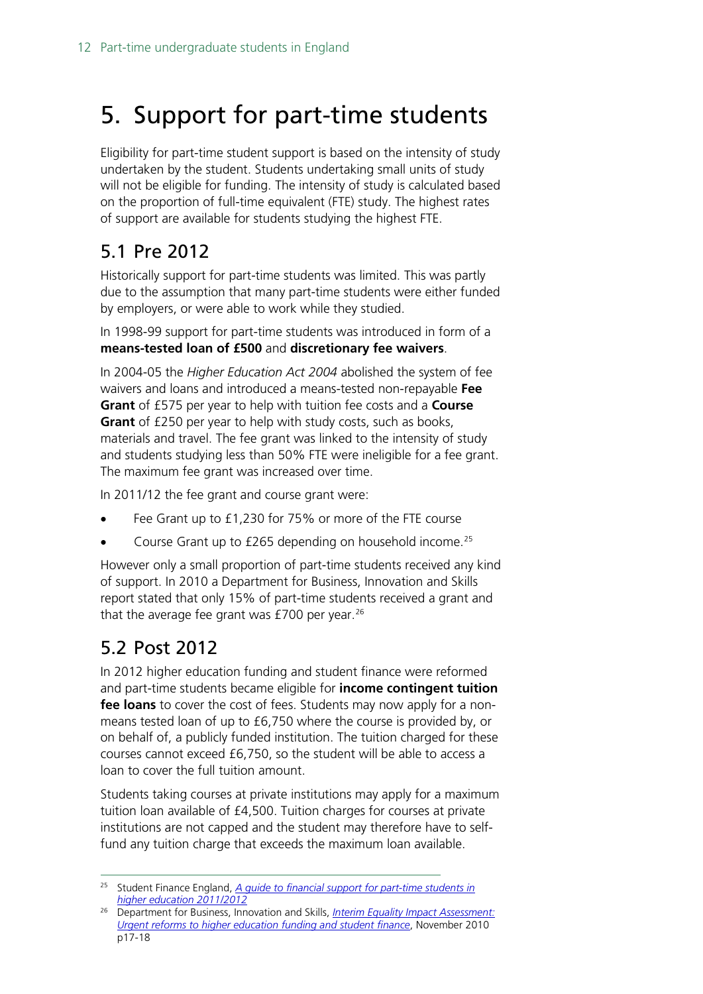# <span id="page-11-0"></span>5. Support for part-time students

Eligibility for part-time student support is based on the intensity of study undertaken by the student. Students undertaking small units of study will not be eligible for funding. The intensity of study is calculated based on the proportion of full-time equivalent (FTE) study. The highest rates of support are available for students studying the highest FTE.

## <span id="page-11-1"></span>5.1 Pre 2012

Historically support for part-time students was limited. This was partly due to the assumption that many part-time students were either funded by employers, or were able to work while they studied.

In 1998-99 support for part-time students was introduced in form of a **means-tested loan of £500** and **discretionary fee waivers**.

In 2004-05 the *Higher Education Act 2004* abolished the system of fee waivers and loans and introduced a means-tested non-repayable **Fee Grant** of £575 per year to help with tuition fee costs and a **Course Grant** of £250 per year to help with study costs, such as books, materials and travel. The fee grant was linked to the intensity of study and students studying less than 50% FTE were ineligible for a fee grant. The maximum fee grant was increased over time.

In 2011/12 the fee grant and course grant were:

- Fee Grant up to £1,230 for 75% or more of the FTE course
- Course Grant up to £265 depending on household income.<sup>[25](#page-11-3)</sup>

However only a small proportion of part-time students received any kind of support. In 2010 a Department for Business, Innovation and Skills report stated that only 15% of part-time students received a grant and that the average fee grant was  $£700$  per year.<sup>[26](#page-11-4)</sup>

## <span id="page-11-2"></span>5.2 Post 2012

In 2012 higher education funding and student finance were reformed and part-time students became eligible for **income contingent tuition fee loans** to cover the cost of fees. Students may now apply for a nonmeans tested loan of up to £6,750 where the course is provided by, or on behalf of, a publicly funded institution. The tuition charged for these courses cannot exceed £6,750, so the student will be able to access a loan to cover the full tuition amount.

Students taking courses at private institutions may apply for a maximum tuition loan available of £4,500. Tuition charges for courses at private institutions are not capped and the student may therefore have to selffund any tuition charge that exceeds the maximum loan available.

<span id="page-11-3"></span> <sup>25</sup> Student Finance England, *[A guide to financial support for part-time students in](https://www.conted.ox.ac.uk/mnt/archive/students/PDFFiles/OUDCEGuidancePTG1GuidePT.pdf)  [higher education 2011/2012](https://www.conted.ox.ac.uk/mnt/archive/students/PDFFiles/OUDCEGuidancePTG1GuidePT.pdf)*

<span id="page-11-4"></span><sup>26</sup> Department for Business, Innovation and Skills, *[Interim Equality Impact Assessment:](https://www.gov.uk/government/uploads/system/uploads/attachment_data/file/32411/10-1310-interim-equality-impact-assessment-he-funding-and-student-finance.pdf)  [Urgent reforms to higher education funding and student finance](https://www.gov.uk/government/uploads/system/uploads/attachment_data/file/32411/10-1310-interim-equality-impact-assessment-he-funding-and-student-finance.pdf)*, November 2010 p17-18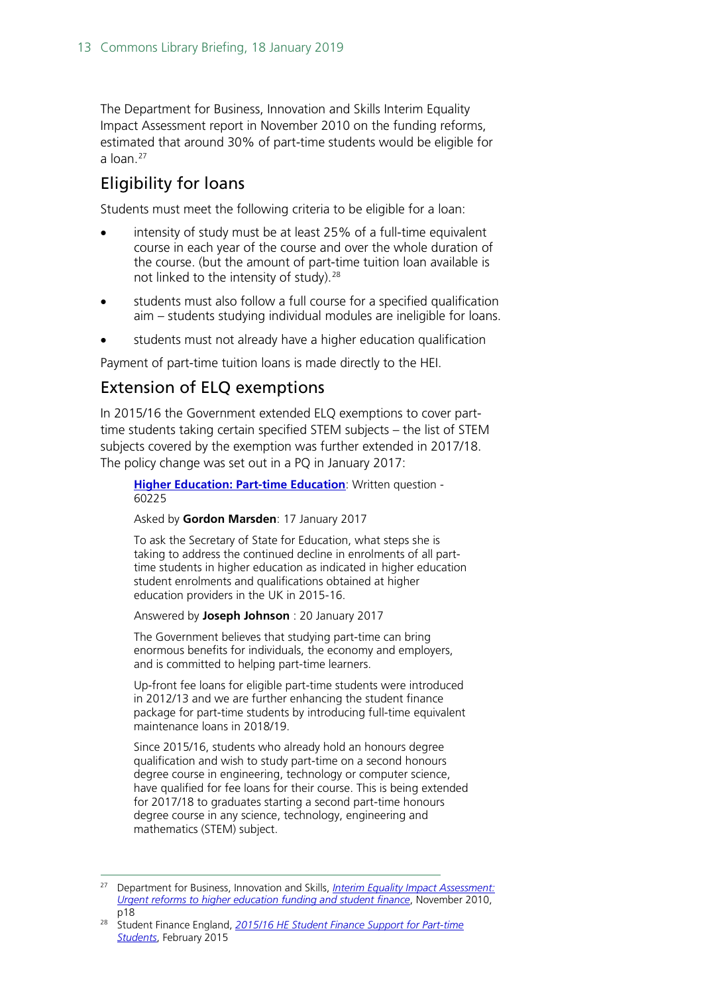The Department for Business, Innovation and Skills Interim Equality Impact Assessment report in November 2010 on the funding reforms, estimated that around 30% of part-time students would be eligible for a loan. $27$ 

### Eligibility for loans

Students must meet the following criteria to be eligible for a loan:

- intensity of study must be at least 25% of a full-time equivalent course in each year of the course and over the whole duration of the course. (but the amount of part-time tuition loan available is not linked to the intensity of study). [28](#page-12-1)
- students must also follow a full course for a specified qualification aim – students studying individual modules are ineligible for loans.
- students must not already have a higher education qualification

Payment of part-time tuition loans is made directly to the HEI.

### Extension of ELQ exemptions

In 2015/16 the Government extended ELQ exemptions to cover parttime students taking certain specified STEM subjects – the list of STEM subjects covered by the exemption was further extended in 2017/18. The policy change was set out in a PQ in January 2017:

**[Higher Education: Part-time Education](http://www.parliament.uk/written-questions-answers-statements/written-question/commons/2017-01-17/60225)**: Written question - 60225

Asked by **Gordon Marsden**: 17 January 2017

To ask the Secretary of State for Education, what steps she is taking to address the continued decline in enrolments of all parttime students in higher education as indicated in higher education student enrolments and qualifications obtained at higher education providers in the UK in 2015-16.

Answered by **Joseph Johnson** : 20 January 2017

The Government believes that studying part-time can bring enormous benefits for individuals, the economy and employers, and is committed to helping part-time learners.

Up-front fee loans for eligible part-time students were introduced in 2012/13 and we are further enhancing the student finance package for part-time students by introducing full-time equivalent maintenance loans in 2018/19.

Since 2015/16, students who already hold an honours degree qualification and wish to study part-time on a second honours degree course in engineering, technology or computer science, have qualified for fee loans for their course. This is being extended for 2017/18 to graduates starting a second part-time honours degree course in any science, technology, engineering and mathematics (STEM) subject.

<span id="page-12-0"></span> <sup>27</sup> Department for Business, Innovation and Skills, *[Interim Equality Impact Assessment:](https://www.gov.uk/government/uploads/system/uploads/attachment_data/file/32411/10-1310-interim-equality-impact-assessment-he-funding-and-student-finance.pdf)  [Urgent reforms to higher education funding and student finance](https://www.gov.uk/government/uploads/system/uploads/attachment_data/file/32411/10-1310-interim-equality-impact-assessment-he-funding-and-student-finance.pdf)*, November 2010, p18

<span id="page-12-1"></span><sup>28</sup> Student Finance England, *[2015/16 HE Student Finance Support for Part-time](http://www.practitioners.slc.co.uk/media/2484/support_for_part_time_students_-_policy_guidance_15-16_v10_final.pdf)  [Students](http://www.practitioners.slc.co.uk/media/2484/support_for_part_time_students_-_policy_guidance_15-16_v10_final.pdf)*, February 2015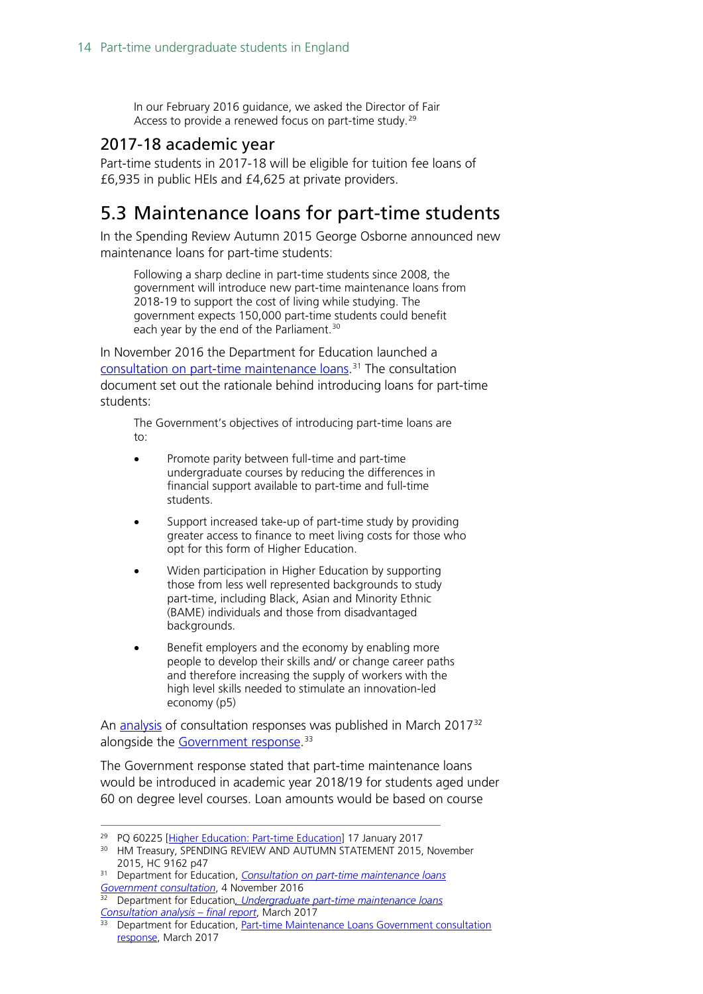In our February 2016 guidance, we asked the Director of Fair Access to provide a renewed focus on part-time study.<sup>[29](#page-13-2)</sup>

#### <span id="page-13-0"></span>2017-18 academic year

Part-time students in 2017-18 will be eligible for tuition fee loans of £6,935 in public HEIs and £4,625 at private providers.

## <span id="page-13-1"></span>5.3 Maintenance loans for part-time students

In the Spending Review Autumn 2015 George Osborne announced new maintenance loans for part-time students:

Following a sharp decline in part-time students since 2008, the government will introduce new part-time maintenance loans from 2018-19 to support the cost of living while studying. The government expects 150,000 part-time students could benefit each year by the end of the Parliament.<sup>[30](#page-13-3)</sup>

In November 2016 the Department for Education launched a [consultation on part-time maintenance loans.](https://consult.education.gov.uk/part-time-maintenance-loans/part-time-maintenance-loans/supporting_documents/Parttime%20Loans%20Consultation%20Document%20FINAL.pdf) [31](#page-13-4) The consultation document set out the rationale behind introducing loans for part-time students:

The Government's objectives of introducing part-time loans are to:

- Promote parity between full-time and part-time undergraduate courses by reducing the differences in financial support available to part-time and full-time students.
- Support increased take-up of part-time study by providing greater access to finance to meet living costs for those who opt for this form of Higher Education.
- Widen participation in Higher Education by supporting those from less well represented backgrounds to study part-time, including Black, Asian and Minority Ethnic (BAME) individuals and those from disadvantaged backgrounds.
- Benefit employers and the economy by enabling more people to develop their skills and/ or change career paths and therefore increasing the supply of workers with the high level skills needed to stimulate an innovation-led economy (p5)

An [analysis](https://www.gov.uk/government/uploads/system/uploads/attachment_data/file/597362/Undergraduate_part-time_maintenance_loans_Consultation_analysis.pdf) of consultation responses was published in March 2017<sup>[32](#page-13-5)</sup> alongside the [Government response.](https://www.gov.uk/government/uploads/system/uploads/attachment_data/file/597367/Part-time_Maintenance_Loans_-_Government_consultation_response_.pdf)<sup>[33](#page-13-6)</sup>

The Government response stated that part-time maintenance loans would be introduced in academic year 2018/19 for students aged under 60 on degree level courses. Loan amounts would be based on course

<span id="page-13-3"></span><span id="page-13-2"></span><sup>&</sup>lt;sup>29</sup> PQ 60225 [\[Higher Education: Part-time Education\]](http://www.parliament.uk/written-questions-answers-statements/written-question/commons/2017-01-17/60225) 17 January 2017

<sup>&</sup>lt;sup>30</sup> HM Treasury, SPENDING REVIEW AND AUTUMN STATEMENT 2015, November 2015, HC 9162 p47

<span id="page-13-4"></span><sup>31</sup> Department for Education, *[Consultation on part-time maintenance loans](https://consult.education.gov.uk/part-time-maintenance-loans/part-time-maintenance-loans/supporting_documents/Parttime%20Loans%20Consultation%20Document%20FINAL.pdf) [Government consultation](https://consult.education.gov.uk/part-time-maintenance-loans/part-time-maintenance-loans/supporting_documents/Parttime%20Loans%20Consultation%20Document%20FINAL.pdf)*, 4 November 2016

<span id="page-13-5"></span><sup>&</sup>lt;sup>32</sup> Department for Education, *Undergraduate part-time maintenance loans*<br>Consultation analysis – final report, March 2017

<span id="page-13-6"></span><sup>&</sup>lt;sup>33</sup> Department for Education[,](https://www.gov.uk/government/uploads/system/uploads/attachment_data/file/597362/Undergraduate_part-time_maintenance_loans_Consultation_analysis.pdf) *Part-time Maintenance Loans Government consultation* [response,](https://www.gov.uk/government/uploads/system/uploads/attachment_data/file/597367/Part-time_Maintenance_Loans_-_Government_consultation_response_.pdf) March 2017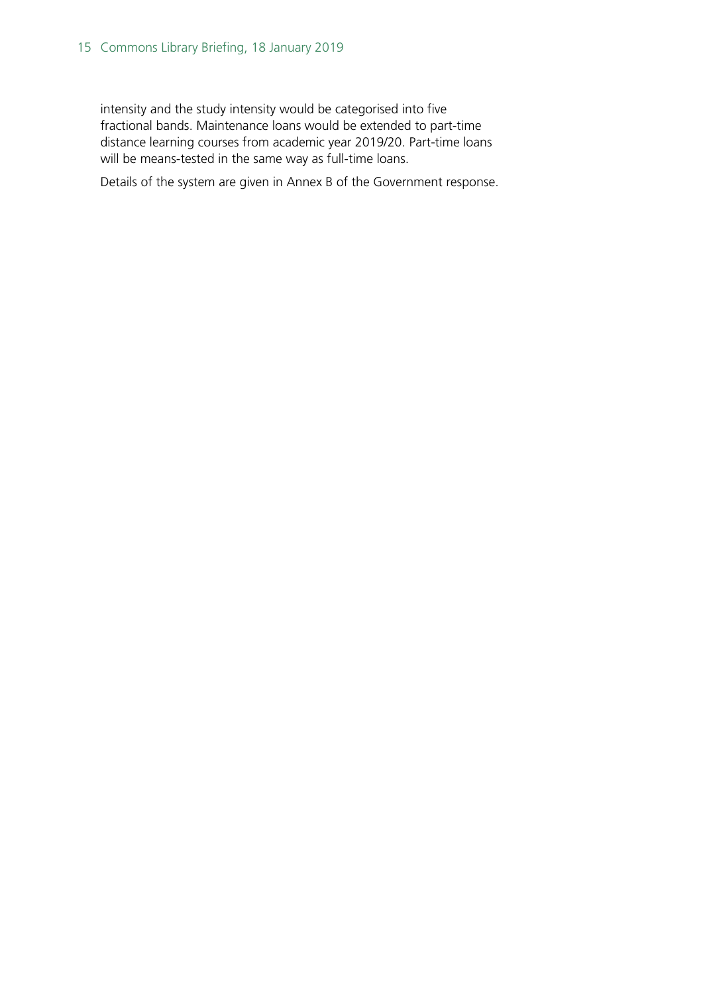intensity and the study intensity would be categorised into five fractional bands. Maintenance loans would be extended to part-time distance learning courses from academic year 2019/20. Part-time loans will be means-tested in the same way as full-time loans.

Details of the system are given in Annex B of the Government response.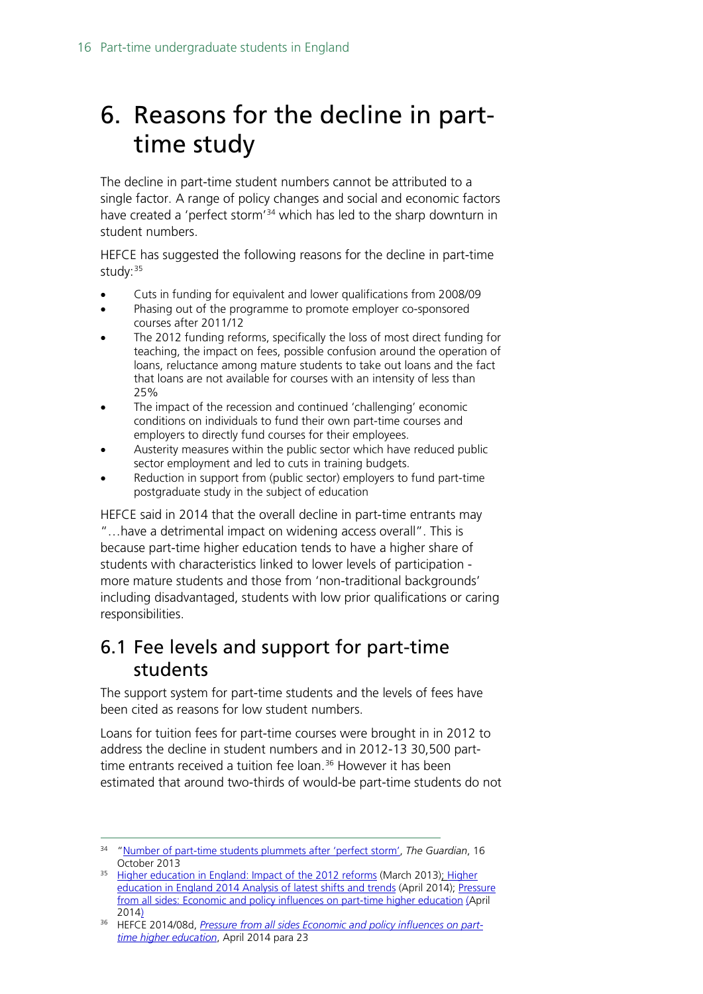# <span id="page-15-0"></span>6. Reasons for the decline in parttime study

The decline in part-time student numbers cannot be attributed to a single factor. A range of policy changes and social and economic factors have created a 'perfect storm'<sup>[34](#page-15-2)</sup> which has led to the sharp downturn in student numbers.

HEFCE has suggested the following reasons for the decline in part-time study: [35](#page-15-3)

- Cuts in funding for equivalent and lower qualifications from 2008/09
- Phasing out of the programme to promote employer co-sponsored courses after 2011/12
- The 2012 funding reforms, specifically the loss of most direct funding for teaching, the impact on fees, possible confusion around the operation of loans, reluctance among mature students to take out loans and the fact that loans are not available for courses with an intensity of less than 25%
- The impact of the recession and continued 'challenging' economic conditions on individuals to fund their own part-time courses and employers to directly fund courses for their employees.
- Austerity measures within the public sector which have reduced public sector employment and led to cuts in training budgets.
- Reduction in support from (public sector) employers to fund part-time postgraduate study in the subject of education

HEFCE said in 2014 that the overall decline in part-time entrants may "…have a detrimental impact on widening access overall". This is because part-time higher education tends to have a higher share of students with characteristics linked to lower levels of participation more mature students and those from 'non-traditional backgrounds' including disadvantaged, students with low prior qualifications or caring responsibilities.

## <span id="page-15-1"></span>6.1 Fee levels and support for part-time students

The support system for part-time students and the levels of fees have been cited as reasons for low student numbers.

Loans for tuition fees for part-time courses were brought in in 2012 to address the decline in student numbers and in 2012-13 30,500 part-time entrants received a tuition fee loan.<sup>[36](#page-15-4)</sup> However it has been estimated that around two-thirds of would-be part-time students do not

<span id="page-15-2"></span> <sup>34</sup> ["Number of part-time students plummets after 'perfect storm',](https://www.theguardian.com/education/2013/oct/16/number-part-time-students-perfect-storm) *The Guardian*, 16 October 2013

<span id="page-15-3"></span><sup>&</sup>lt;sup>35</sup> [Higher education in England: Impact of the 2012 reforms](http://www.hefce.ac.uk/about/intro/abouthighereducationinengland/impact/) (March 2013); Higher [education in England 2014 Analysis of latest shifts and trends](http://www.hefce.ac.uk/media/hefce/content/heinengland/2014report/HEinEngland_2014.pdf) (April 2014); [Pressure](http://www.hefce.ac.uk/pubs/Year/2014/201408d/Title,92366,en.html)  [from all sides: Economic and policy influences on part-time higher education](http://www.hefce.ac.uk/pubs/Year/2014/201408d/Title,92366,en.html) (April [2014\)](http://www.hefce.ac.uk/pubs/Year/2014/201408d/Title,92366,en.html)

<span id="page-15-4"></span><sup>36</sup> HEFCE 2014/08d, *[Pressure from all sides Economic and policy influences on part](http://www.hefce.ac.uk/media/hefce/content/pubs/2014/201408d/HEFE2014_08d.pdf)[time higher education](http://www.hefce.ac.uk/media/hefce/content/pubs/2014/201408d/HEFE2014_08d.pdf)*, April 2014 para 23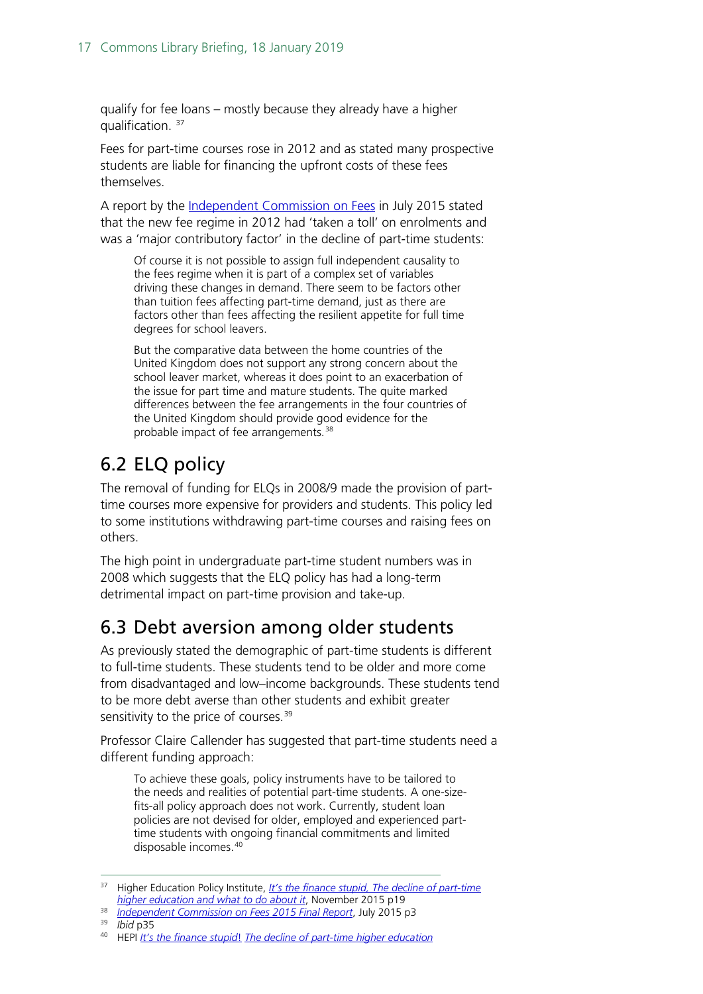qualify for fee loans – mostly because they already have a higher qualification.  $37$ 

Fees for part-time courses rose in 2012 and as stated many prospective students are liable for financing the upfront costs of these fees themselves.

A report by the [Independent Commission on Fees](http://www.suttontrust.com/wp-content/uploads/2015/07/ICOF-REPORT-2015.pdf) in July 2015 stated that the new fee regime in 2012 had 'taken a toll' on enrolments and was a 'major contributory factor' in the decline of part-time students:

Of course it is not possible to assign full independent causality to the fees regime when it is part of a complex set of variables driving these changes in demand. There seem to be factors other than tuition fees affecting part-time demand, just as there are factors other than fees affecting the resilient appetite for full time degrees for school leavers.

But the comparative data between the home countries of the United Kingdom does not support any strong concern about the school leaver market, whereas it does point to an exacerbation of the issue for part time and mature students. The quite marked differences between the fee arrangements in the four countries of the United Kingdom should provide good evidence for the probable impact of fee arrangements.<sup>[38](#page-16-3)</sup>

## <span id="page-16-0"></span>6.2 ELQ policy

The removal of funding for ELQs in 2008/9 made the provision of parttime courses more expensive for providers and students. This policy led to some institutions withdrawing part-time courses and raising fees on others.

The high point in undergraduate part-time student numbers was in 2008 which suggests that the ELQ policy has had a long-term detrimental impact on part-time provision and take-up.

## <span id="page-16-1"></span>6.3 Debt aversion among older students

As previously stated the demographic of part-time students is different to full-time students. These students tend to be older and more come from disadvantaged and low–income backgrounds. These students tend to be more debt averse than other students and exhibit greater sensitivity to the price of courses.<sup>[39](#page-16-4)</sup>

Professor Claire Callender has suggested that part-time students need a different funding approach:

To achieve these goals, policy instruments have to be tailored to the needs and realities of potential part-time students. A one-sizefits-all policy approach does not work. Currently, student loan policies are not devised for older, employed and experienced parttime students with ongoing financial commitments and limited disposable incomes.[40](#page-16-5)

- <span id="page-16-3"></span><sup>38</sup> *[Independent Commission on Fees 2015 Final Report](http://www.suttontrust.com/wp-content/uploads/2015/07/ICOF-REPORT-2015.pdf)*, July 2015 p3
- <sup>39</sup> *Ibid* p35

<span id="page-16-2"></span><sup>&</sup>lt;sup>37</sup> Higher Education Policy Institute, *It's the finance stupid, The decline of part-time [higher education and what to do about it](http://www.hepi.ac.uk/wp-content/uploads/2015/10/part-time_web.pdf)*, November 2015 p19

<span id="page-16-5"></span><span id="page-16-4"></span><sup>40</sup> HEPI *[It's the finance stupid](http://www.hepi.ac.uk/wp-content/uploads/2015/10/part-time_web.pdf)*! *[The decline of part-time higher education](http://www.hepi.ac.uk/wp-content/uploads/2015/10/part-time_web.pdf)*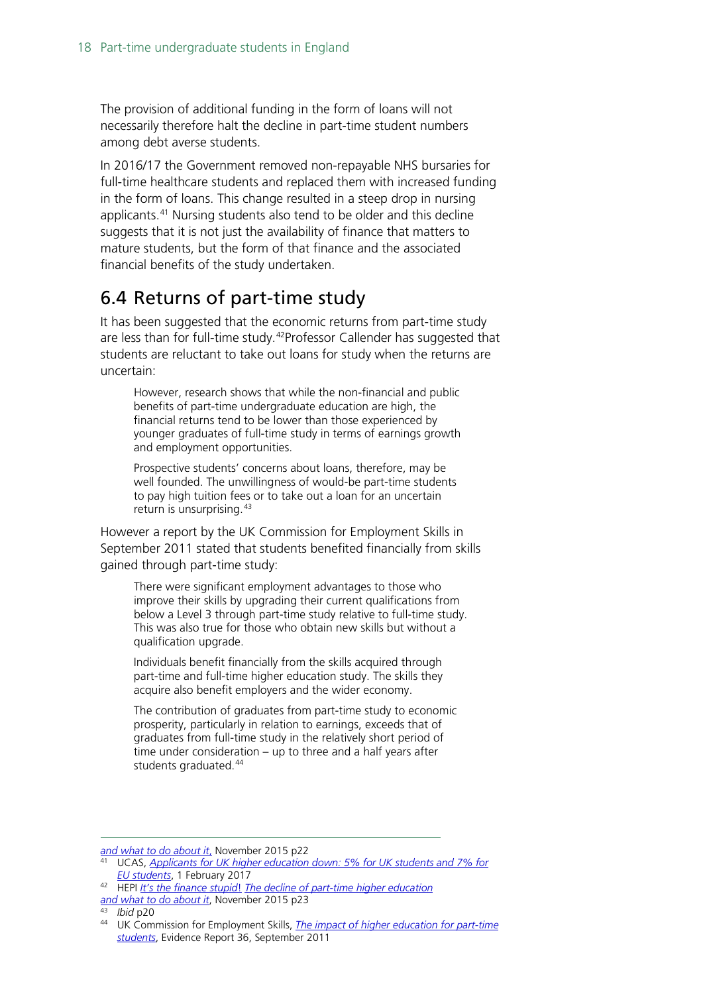The provision of additional funding in the form of loans will not necessarily therefore halt the decline in part-time student numbers among debt averse students.

In 2016/17 the Government removed non-repayable NHS bursaries for full-time healthcare students and replaced them with increased funding in the form of loans. This change resulted in a steep drop in nursing applicants.[41](#page-17-1) Nursing students also tend to be older and this decline suggests that it is not just the availability of finance that matters to mature students, but the form of that finance and the associated financial benefits of the study undertaken.

## <span id="page-17-0"></span>6.4 Returns of part-time study

It has been suggested that the economic returns from part-time study are less than for full-time study.<sup>[42](#page-17-2)</sup>Professor Callender has suggested that students are reluctant to take out loans for study when the returns are uncertain:

However, research shows that while the non-financial and public benefits of part-time undergraduate education are high, the financial returns tend to be lower than those experienced by younger graduates of full-time study in terms of earnings growth and employment opportunities.

Prospective students' concerns about loans, therefore, may be well founded. The unwillingness of would-be part-time students to pay high tuition fees or to take out a loan for an uncertain return is unsurprising. [43](#page-17-3)

However a report by the UK Commission for Employment Skills in September 2011 stated that students benefited financially from skills gained through part-time study:

There were significant employment advantages to those who improve their skills by upgrading their current qualifications from below a Level 3 through part-time study relative to full-time study. This was also true for those who obtain new skills but without a qualification upgrade.

Individuals benefit financially from the skills acquired through part-time and full-time higher education study. The skills they acquire also benefit employers and the wider economy.

The contribution of graduates from part-time study to economic prosperity, particularly in relation to earnings, exceeds that of graduates from full-time study in the relatively short period of time under consideration – up to three and a half years after students graduated.<sup>[44](#page-17-4)</sup>

 $\overline{a}$ *[and what to do about it](http://www.hepi.ac.uk/wp-content/uploads/2015/10/part-time_web.pdf)*, November 2015 p22

<sup>41</sup> UCAS, *[Applicants for UK higher education down: 5% for UK students and 7% for](https://www.ucas.com/corporate/news-and-key-documents/news/applicants-uk-higher-education-down-5-uk-students-and-7-eu-students)  [EU students](https://www.ucas.com/corporate/news-and-key-documents/news/applicants-uk-higher-education-down-5-uk-students-and-7-eu-students)*, 1 February 2017

<span id="page-17-2"></span><span id="page-17-1"></span><sup>42</sup> HEPI *[It's the finance stupid](http://www.hepi.ac.uk/wp-content/uploads/2015/10/part-time_web.pdf)*! *[The decline of part-time higher education](http://www.hepi.ac.uk/wp-content/uploads/2015/10/part-time_web.pdf) [and what to do about it](http://www.hepi.ac.uk/wp-content/uploads/2015/10/part-time_web.pdf)*, November 2015 p23

<span id="page-17-3"></span><sup>43</sup> *Ibid* p20

<span id="page-17-4"></span><sup>44</sup> UK Commission for Employment Skills, *[The impact of higher education for part-time](http://aces.shu.ac.uk/employability/resources/evidence-report-36-executive-summary.pdf)  [students](http://aces.shu.ac.uk/employability/resources/evidence-report-36-executive-summary.pdf)*, Evidence Report 36, September 2011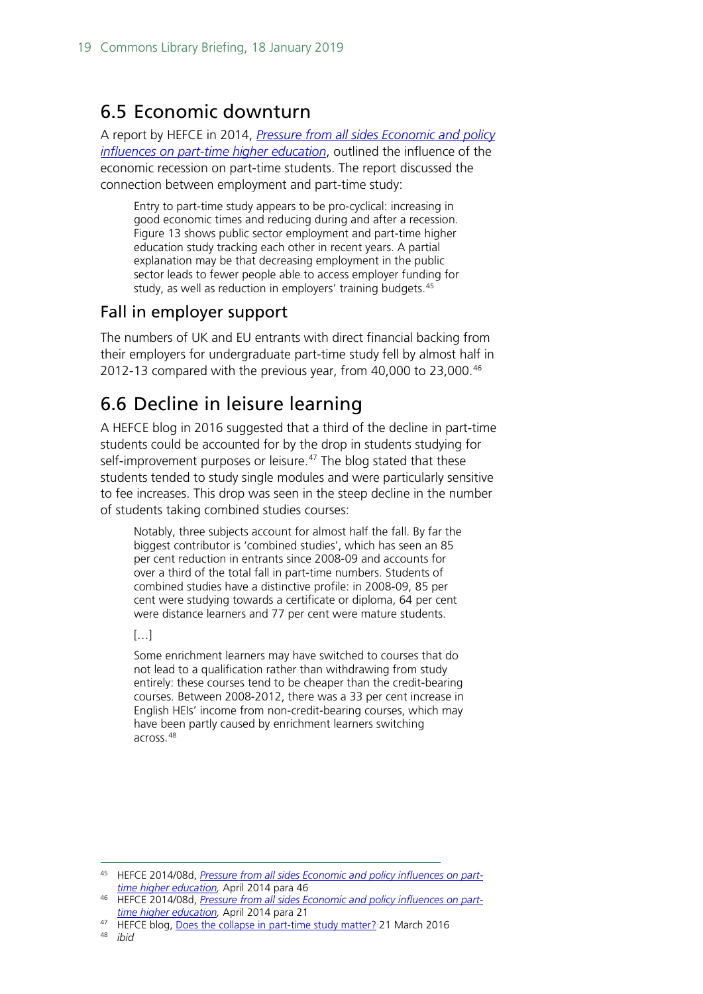### <span id="page-18-0"></span>6.5 Economic downturn

A report by HEFCE in 2014, *[Pressure from all sides Economic and policy](http://www.hefce.ac.uk/media/hefce/content/pubs/2014/201408d/HEFE2014_08d.doc)  [influences on part-time higher education](http://www.hefce.ac.uk/media/hefce/content/pubs/2014/201408d/HEFE2014_08d.doc)*, outlined the influence of the economic recession on part-time students. The report discussed the connection between employment and part-time study:

Entry to part-time study appears to be pro-cyclical: increasing in good economic times and reducing during and after a recession. Figure 13 shows public sector employment and part-time higher education study tracking each other in recent years. A partial explanation may be that decreasing employment in the public sector leads to fewer people able to access employer funding for study, as well as reduction in employers' training budgets.<sup>[45](#page-18-2)</sup>

#### Fall in employer support

The numbers of UK and EU entrants with direct financial backing from their employers for undergraduate part-time study fell by almost half in 2012-13 compared with the previous year, from 40,000 to 23,000. [46](#page-18-3)

## <span id="page-18-1"></span>6.6 Decline in leisure learning

A HEFCE blog in 2016 suggested that a third of the decline in part-time students could be accounted for by the drop in students studying for self-improvement purposes or leisure.<sup>[47](#page-18-4)</sup> The blog stated that these students tended to study single modules and were particularly sensitive to fee increases. This drop was seen in the steep decline in the number of students taking combined studies courses:

Notably, three subjects account for almost half the fall. By far the biggest contributor is 'combined studies', which has seen an 85 per cent reduction in entrants since 2008-09 and accounts for over a third of the total fall in part-time numbers. Students of combined studies have a distinctive profile: in 2008-09, 85 per cent were studying towards a certificate or diploma, 64 per cent were distance learners and 77 per cent were mature students.

[…]

Some enrichment learners may have switched to courses that do not lead to a qualification rather than withdrawing from study entirely: these courses tend to be cheaper than the credit-bearing courses. Between 2008-2012, there was a 33 per cent increase in English HEIs' income from non-credit-bearing courses, which may have been partly caused by enrichment learners switching across.<sup>[48](#page-18-5)</sup>

<span id="page-18-2"></span> <sup>45</sup> HEFCE 2014/08d, *[Pressure from all sides Economic and policy influences on part](http://www.hefce.ac.uk/media/hefce/content/pubs/2014/201408d/HEFE2014_08d.pdf)[time higher education,](http://www.hefce.ac.uk/media/hefce/content/pubs/2014/201408d/HEFE2014_08d.pdf)* April 2014 para 46

<span id="page-18-3"></span><sup>46</sup> HEFCE 2014/08d, *[Pressure from all sides Economic and policy influences on part](http://www.hefce.ac.uk/media/hefce/content/pubs/2014/201408d/HEFE2014_08d.pdf)[time higher education,](http://www.hefce.ac.uk/media/hefce/content/pubs/2014/201408d/HEFE2014_08d.pdf)* April 2014 para 21

<span id="page-18-5"></span><span id="page-18-4"></span><sup>&</sup>lt;sup>47</sup> HEFCE blog, Does the [collapse in part-time study matter?](http://blog.hefce.ac.uk/2016/03/21/does-the-collapse-in-part-time-study-matter/) 21 March 2016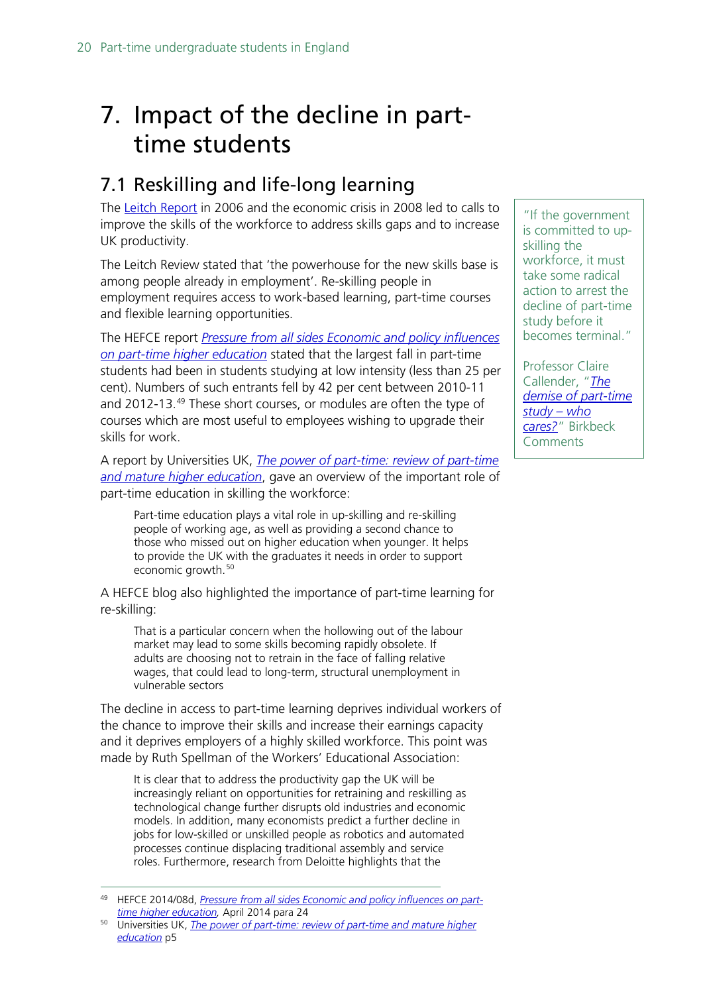# <span id="page-19-0"></span>7. Impact of the decline in parttime students

## <span id="page-19-1"></span>7.1 Reskilling and life-long learning

The [Leitch Report](http://dera.ioe.ac.uk/6322/1/leitch_finalreport051206.pdf) in 2006 and the economic crisis in 2008 led to calls to improve the skills of the workforce to address skills gaps and to increase UK productivity.

The Leitch Review stated that 'the powerhouse for the new skills base is among people already in employment'. Re-skilling people in employment requires access to work-based learning, part-time courses and flexible learning opportunities.

The HEFCE report *[Pressure from all sides Economic and policy influences](http://www.hefce.ac.uk/media/hefce/content/pubs/2014/201408d/HEFE2014_08d.pdf)  [on part-time higher education](http://www.hefce.ac.uk/media/hefce/content/pubs/2014/201408d/HEFE2014_08d.pdf)* stated that the largest fall in part-time students had been in students studying at low intensity (less than 25 per cent). Numbers of such entrants fell by 42 per cent between 2010-11 and 2012-13.<sup>[49](#page-19-2)</sup> These short courses, or modules are often the type of courses which are most useful to employees wishing to upgrade their skills for work.

A report by Universities UK, *[The power of part-time: review of part-time](http://www.universitiesuk.ac.uk/policy-and-analysis/reports/Documents/2013/power-of-part-time.pdf)  [and mature higher education](http://www.universitiesuk.ac.uk/policy-and-analysis/reports/Documents/2013/power-of-part-time.pdf)*, gave an overview of the important role of part-time education in skilling the workforce:

Part-time education plays a vital role in up-skilling and re-skilling people of working age, as well as providing a second chance to those who missed out on higher education when younger. It helps to provide the UK with the graduates it needs in order to support economic growth.<sup>[50](#page-19-3)</sup>

A HEFCE blog also highlighted the importance of part-time learning for re-skilling:

That is a particular concern when the hollowing out of the labour market may lead to some skills becoming rapidly obsolete. If adults are choosing not to retrain in the face of falling relative wages, that could lead to long-term, structural unemployment in vulnerable sectors

The decline in access to part-time learning deprives individual workers of the chance to improve their skills and increase their earnings capacity and it deprives employers of a highly skilled workforce. This point was made by Ruth Spellman of the Workers' Educational Association:

It is clear that to address the productivity gap the UK will be increasingly reliant on opportunities for retraining and reskilling as technological change further disrupts old industries and economic models. In addition, many economists predict a further decline in jobs for low-skilled or unskilled people as robotics and automated processes continue displacing traditional assembly and service roles. Furthermore, research from Deloitte highlights that the

"If the government is committed to upskilling the workforce, it must take some radical action to arrest the decline of part-time study before it becomes terminal."

Professor Claire Callender, "*[The](http://blogs.bbk.ac.uk/bbkcomments/2015/10/29/the-demise-of-part-time-study-who-cares/)  [demise of part-time](http://blogs.bbk.ac.uk/bbkcomments/2015/10/29/the-demise-of-part-time-study-who-cares/)  [study –](http://blogs.bbk.ac.uk/bbkcomments/2015/10/29/the-demise-of-part-time-study-who-cares/) who [cares?](http://blogs.bbk.ac.uk/bbkcomments/2015/10/29/the-demise-of-part-time-study-who-cares/)*" Birkbeck Comments

<span id="page-19-2"></span> <sup>49</sup> HEFCE 2014/08d, *[Pressure from all sides Economic and policy influences on part](http://www.hefce.ac.uk/media/hefce/content/pubs/2014/201408d/HEFE2014_08d.pdf)[time higher education,](http://www.hefce.ac.uk/media/hefce/content/pubs/2014/201408d/HEFE2014_08d.pdf)* April 2014 para 24

<span id="page-19-3"></span><sup>50</sup> Universities UK, *[The power of part-time: review of part-time and mature higher](http://www.universitiesuk.ac.uk/policy-and-analysis/reports/Documents/2013/power-of-part-time.pdf)  [education](http://www.universitiesuk.ac.uk/policy-and-analysis/reports/Documents/2013/power-of-part-time.pdf)* p5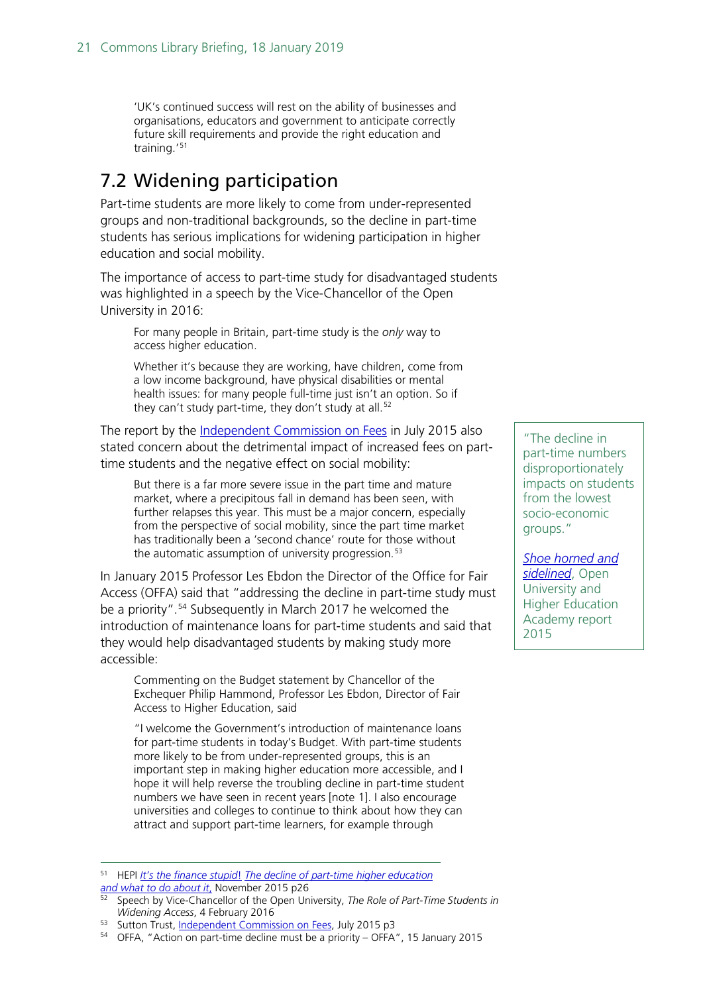'UK's continued success will rest on the ability of businesses and organisations, educators and government to anticipate correctly future skill requirements and provide the right education and training.'[51](#page-20-1)

### <span id="page-20-0"></span>7.2 Widening participation

Part-time students are more likely to come from under-represented groups and non-traditional backgrounds, so the decline in part-time students has serious implications for widening participation in higher education and social mobility.

The importance of access to part-time study for disadvantaged students was highlighted in a speech by the Vice-Chancellor of the Open University in 2016:

For many people in Britain, part-time study is the *only* way to access higher education.

Whether it's because they are working, have children, come from a low income background, have physical disabilities or mental health issues: for many people full-time just isn't an option. So if they can't study part-time, they don't study at all.<sup>[52](#page-20-2)</sup>

The report by the [Independent Commission on Fees](http://www.suttontrust.com/wp-content/uploads/2015/07/ICOF-REPORT-2015.pdf) in July 2015 also stated concern about the detrimental impact of increased fees on parttime students and the negative effect on social mobility:

But there is a far more severe issue in the part time and mature market, where a precipitous fall in demand has been seen, with further relapses this year. This must be a major concern, especially from the perspective of social mobility, since the part time market has traditionally been a 'second chance' route for those without the automatic assumption of university progression.<sup>[53](#page-20-3)</sup>

In January 2015 Professor Les Ebdon the Director of the Office for Fair Access (OFFA) said that "addressing the decline in part-time study must be a priority".<sup>[54](#page-20-4)</sup> Subsequently in March 2017 he welcomed the introduction of maintenance loans for part-time students and said that they would help disadvantaged students by making study more accessible:

Commenting on the Budget statement by Chancellor of the Exchequer Philip Hammond, Professor Les Ebdon, Director of Fair Access to Higher Education, said

"I welcome the Government's introduction of maintenance loans for part-time students in today's Budget. With part-time students more likely to be from under-represented groups, this is an important step in making higher education more accessible, and I hope it will help reverse the troubling decline in part-time student numbers we have seen in recent years [note 1]. I also encourage universities and colleges to continue to think about how they can attract and support part-time learners, for example through

<span id="page-20-1"></span> 51 HEPI *[It's the finance stupid](http://www.hepi.ac.uk/wp-content/uploads/2015/10/part-time_web.pdf)*! *[The decline of part-time higher education](http://www.hepi.ac.uk/wp-content/uploads/2015/10/part-time_web.pdf) [and what to do about it](http://www.hepi.ac.uk/wp-content/uploads/2015/10/part-time_web.pdf)*, November 2015 p26

"The decline in part-time numbers disproportionately impacts on students from the lowest socio-economic groups."

*[Shoe horned and](https://www.heacademy.ac.uk/system/files/resources/Challenges%20for%20part-time%20learners.pdf)  [sidelined](https://www.heacademy.ac.uk/system/files/resources/Challenges%20for%20part-time%20learners.pdf)*, Open University and Higher Education Academy report 2015

<span id="page-20-2"></span><sup>52</sup> Speech by Vice-Chancellor of the Open University, *The Role of Part-Time Students in Widening Access*, 4 February 2016

<span id="page-20-3"></span><sup>53</sup> Sutton Trust, [Independent Commission on Fees,](http://www.suttontrust.com/wp-content/uploads/2015/07/ICOF-REPORT-2015.pdf) July 2015 p3

<span id="page-20-4"></span><sup>54</sup> OFFA, "Action on part-time decline must be a priority – OFFA", 15 January 2015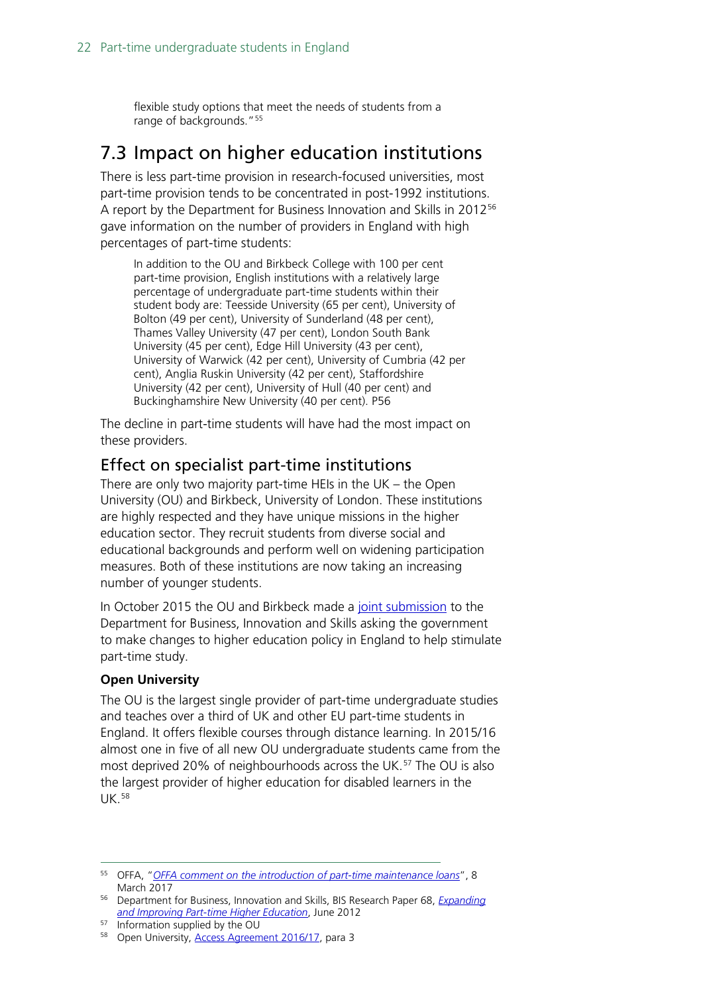flexible study options that meet the needs of students from a range of backgrounds."<sup>[55](#page-21-2)</sup>

### <span id="page-21-0"></span>7.3 Impact on higher education institutions

There is less part-time provision in research-focused universities, most part-time provision tends to be concentrated in post-1992 institutions. A report by the Department for Business Innovation and Skills in 2012<sup>[56](#page-21-3)</sup> gave information on the number of providers in England with high percentages of part-time students:

In addition to the OU and Birkbeck College with 100 per cent part-time provision, English institutions with a relatively large percentage of undergraduate part-time students within their student body are: Teesside University (65 per cent), University of Bolton (49 per cent), University of Sunderland (48 per cent), Thames Valley University (47 per cent), London South Bank University (45 per cent), Edge Hill University (43 per cent), University of Warwick (42 per cent), University of Cumbria (42 per cent), Anglia Ruskin University (42 per cent), Staffordshire University (42 per cent), University of Hull (40 per cent) and Buckinghamshire New University (40 per cent). P56

The decline in part-time students will have had the most impact on these providers.

#### <span id="page-21-1"></span>Effect on specialist part-time institutions

There are only two majority part-time HEIs in the UK – the Open University (OU) and Birkbeck, University of London. These institutions are highly respected and they have unique missions in the higher education sector. They recruit students from diverse social and educational backgrounds and perform well on widening participation measures. Both of these institutions are now taking an increasing number of younger students.

In October 2015 the OU and Birkbeck made a [joint submission](http://www.bbk.ac.uk/news/birkbeck-urges-government-to-stimulate-part-time-study) to the Department for Business, Innovation and Skills asking the government to make changes to higher education policy in England to help stimulate part-time study.

#### **Open University**

The OU is the largest single provider of part-time undergraduate studies and teaches over a third of UK and other EU part-time students in England. It offers flexible courses through distance learning. In 2015/16 almost one in five of all new OU undergraduate students came from the most deprived 20% of neighbourhoods across the UK.<sup>[57](#page-21-4)</sup> The OU is also the largest provider of higher education for disabled learners in the UK. [58](#page-21-5)

<span id="page-21-2"></span> <sup>55</sup> OFFA, "*[OFFA comment on the introduction of](https://www.offa.org.uk/press-releases/offa-comment-introduction-part-time-maintenance-loans/) part-time maintenance loans*", 8 March 2017

<span id="page-21-3"></span><sup>56</sup> Department for Business, Innovation and Skills, BIS Research Paper 68, *[Expanding](http://dera.ioe.ac.uk/14786/1/12-906-expanding-improving-part-time-higher-education)  [and Improving Part-time Higher Education](http://dera.ioe.ac.uk/14786/1/12-906-expanding-improving-part-time-higher-education)*, June 2012

<span id="page-21-5"></span><span id="page-21-4"></span><sup>57</sup> Information supplied by the OU

<sup>58</sup> Open University, **Access Agreement 2016/17**, para 3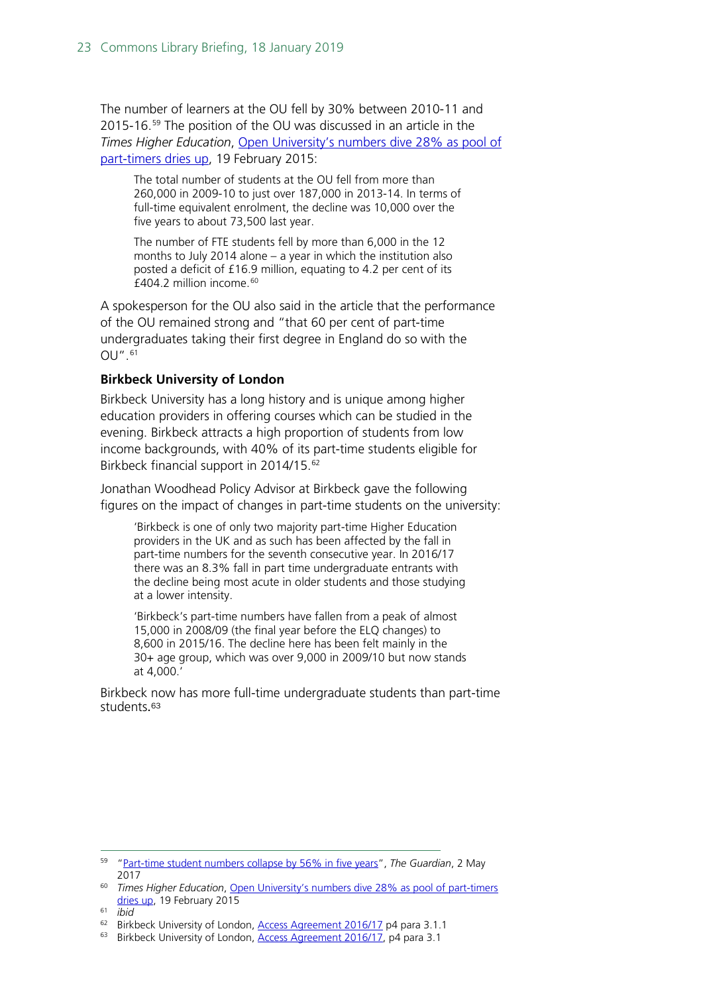The number of learners at the OU fell by 30% between 2010-11 and 2015-16.[59](#page-22-0) The position of the OU was discussed in an article in the *Times Higher Education*, [Open University's numbers dive 28% as pool of](https://www.timeshighereducation.com/news/open-universitys-numbers-dive-28-as-pool-of-part-timers-dries-up/2018593.article)  [part-timers dries up,](https://www.timeshighereducation.com/news/open-universitys-numbers-dive-28-as-pool-of-part-timers-dries-up/2018593.article) 19 February 2015:

The total number of students at the OU fell from more than 260,000 in 2009-10 to just over 187,000 in 2013-14. In terms of full-time equivalent enrolment, the decline was 10,000 over the five years to about 73,500 last year.

The number of FTE students fell by more than 6,000 in the 12 months to July 2014 alone – a year in which the institution also posted a deficit of £16.9 million, equating to 4.2 per cent of its £404.2 million income.[60](#page-22-1)

A spokesperson for the OU also said in the article that the performance of the OU remained strong and "that 60 per cent of part-time undergraduates taking their first degree in England do so with the OU". [61](#page-22-2)

#### **Birkbeck University of London**

Birkbeck University has a long history and is unique among higher education providers in offering courses which can be studied in the evening. Birkbeck attracts a high proportion of students from low income backgrounds, with 40% of its part-time students eligible for Birkbeck financial support in 2014/15. [62](#page-22-3)

Jonathan Woodhead Policy Advisor at Birkbeck gave the following figures on the impact of changes in part-time students on the university:

'Birkbeck is one of only two majority part-time Higher Education providers in the UK and as such has been affected by the fall in part-time numbers for the seventh consecutive year. In 2016/17 there was an 8.3% fall in part time undergraduate entrants with the decline being most acute in older students and those studying at a lower intensity.

'Birkbeck's part-time numbers have fallen from a peak of almost 15,000 in 2008/09 (the final year before the ELQ changes) to 8,600 in 2015/16. The decline here has been felt mainly in the 30+ age group, which was over 9,000 in 2009/10 but now stands at 4,000.'

Birkbeck now has more full-time undergraduate students than part-time students.[63](#page-22-4)

<span id="page-22-0"></span> <sup>59</sup> ["Part-time student numbers collapse by 56% in five years"](https://www.theguardian.com/education/2017/may/02/part-time-student-numbers-collapse-universities), *The Guardian*, 2 May 2017

<span id="page-22-1"></span><sup>60</sup> *Times Higher Education*, [Open University's numbers dive 28% as pool of part-timers](https://www.timeshighereducation.com/news/open-universitys-numbers-dive-28-as-pool-of-part-timers-dries-up/2018593.article)  [dries up,](https://www.timeshighereducation.com/news/open-universitys-numbers-dive-28-as-pool-of-part-timers-dries-up/2018593.article) 19 February 2015

<span id="page-22-2"></span><sup>61</sup> *ibid*

<span id="page-22-3"></span><sup>&</sup>lt;sup>62</sup> Birkbeck University of London, [Access Agreement 2016/17](https://www.offa.org.uk/agreements/Birkbeck%201617.pdf) p4 para 3.1.1

<span id="page-22-4"></span><sup>&</sup>lt;sup>63</sup> Birkbeck University of London, [Access Agreement 2016/17,](https://www.offa.org.uk/agreements/Birkbeck%201617.pdf) p4 para 3.1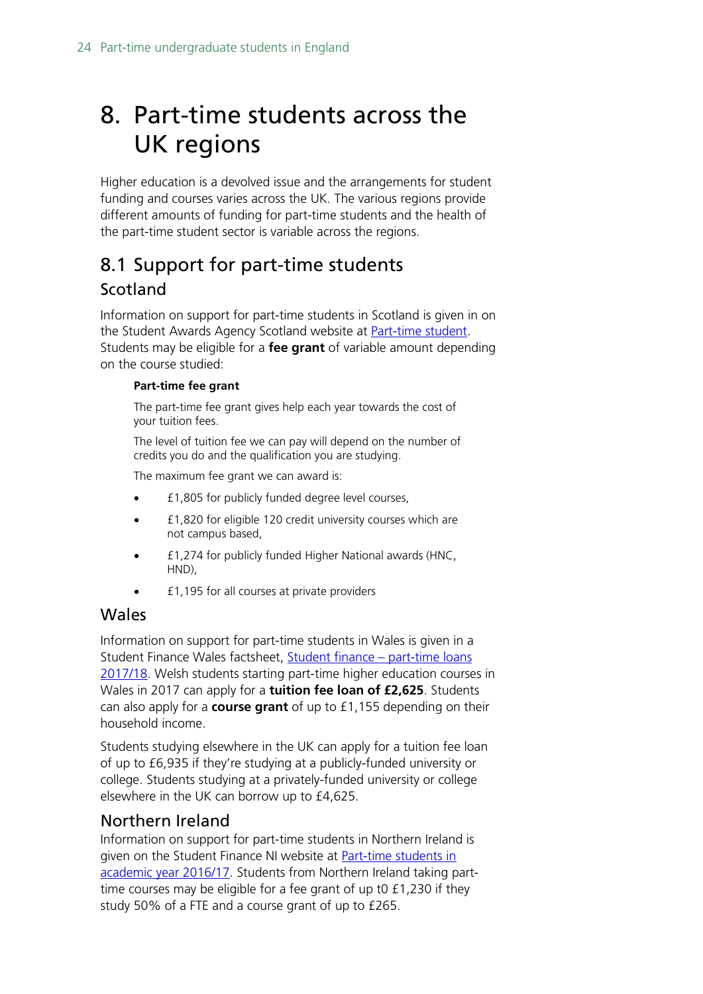# <span id="page-23-0"></span>8. Part-time students across the UK regions

Higher education is a devolved issue and the arrangements for student funding and courses varies across the UK. The various regions provide different amounts of funding for part-time students and the health of the part-time student sector is variable across the regions.

## <span id="page-23-1"></span>8.1 Support for part-time students Scotland

Information on support for part-time students in Scotland is given in on the Student Awards Agency Scotland website at [Part-time student.](http://www.saas.gov.uk/part_time/ug/funding_available.htm) Students may be eligible for a **fee grant** of variable amount depending on the course studied:

#### **Part-time fee grant**

The part-time fee grant gives help each year towards the cost of your tuition fees.

The level of tuition fee we can pay will depend on the number of credits you do and the qualification you are studying.

The maximum fee grant we can award is:

- £1,805 for publicly funded degree level courses,
- £1,820 for eligible 120 credit university courses which are not campus based,
- £1,274 for publicly funded Higher National awards (HNC, HND),
- £1,195 for all courses at private providers

#### Wales

Information on support for part-time students in Wales is given in a Student Finance Wales factsheet, [Student finance –](http://www.studentfinancewales.co.uk/media/196040/sfw_part_time_loans_fs_1718_en_d.pdf) part-time loans [2017/18.](http://www.studentfinancewales.co.uk/media/196040/sfw_part_time_loans_fs_1718_en_d.pdf) Welsh students starting part-time higher education courses in Wales in 2017 can apply for a **tuition fee loan of £2,625**. Students can also apply for a **course grant** of up to £1,155 depending on their household income.

Students studying elsewhere in the UK can apply for a tuition fee loan of up to £6,935 if they're studying at a publicly-funded university or college. Students studying at a privately-funded university or college elsewhere in the UK can borrow up to £4,625.

#### <span id="page-23-2"></span>Northern Ireland

Information on support for part-time students in Northern Ireland is given on the Student Finance NI website at **Part-time students in** [academic year 2016/17.](http://www.studentfinanceni.co.uk/portal/page?_pageid=54,1268443&_dad=portal&_schema=PORTAL) Students from Northern Ireland taking parttime courses may be eligible for a fee grant of up t0 £1,230 if they study 50% of a FTE and a course grant of up to £265.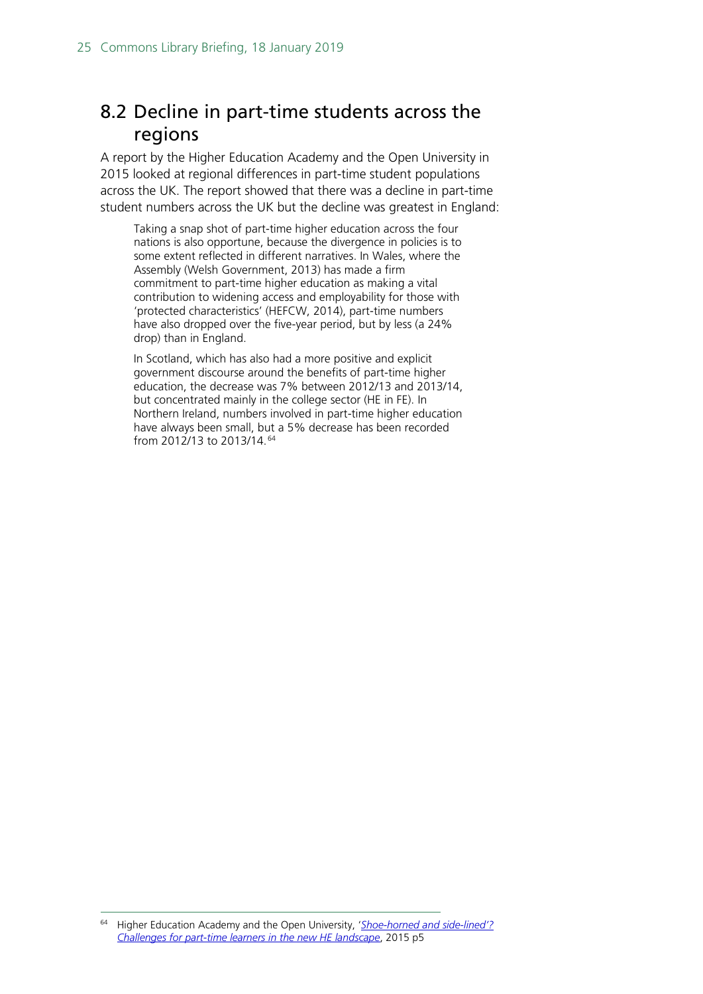## <span id="page-24-0"></span>8.2 Decline in part-time students across the regions

A report by the Higher Education Academy and the Open University in 2015 looked at regional differences in part-time student populations across the UK. The report showed that there was a decline in part-time student numbers across the UK but the decline was greatest in England:

Taking a snap shot of part-time higher education across the four nations is also opportune, because the divergence in policies is to some extent reflected in different narratives. In Wales, where the Assembly (Welsh Government, 2013) has made a firm commitment to part-time higher education as making a vital contribution to widening access and employability for those with 'protected characteristics' (HEFCW, 2014), part-time numbers have also dropped over the five-year period, but by less (a 24% drop) than in England.

In Scotland, which has also had a more positive and explicit government discourse around the benefits of part-time higher education, the decrease was 7% between 2012/13 and 2013/14, but concentrated mainly in the college sector (HE in FE). In Northern Ireland, numbers involved in part-time higher education have always been small, but a 5% decrease has been recorded from 2012/13 to 2013/14.[64](#page-24-1)

<span id="page-24-1"></span> <sup>64</sup> Higher Education Academy and the Open University, '*[Shoe-horned and side-lined'?](https://www.heacademy.ac.uk/system/files/resources/Challenges%20for%20part-time%20learners.pdf)  [Challenges for part-time learners in the new HE landscape](https://www.heacademy.ac.uk/system/files/resources/Challenges%20for%20part-time%20learners.pdf)*, 2015 p5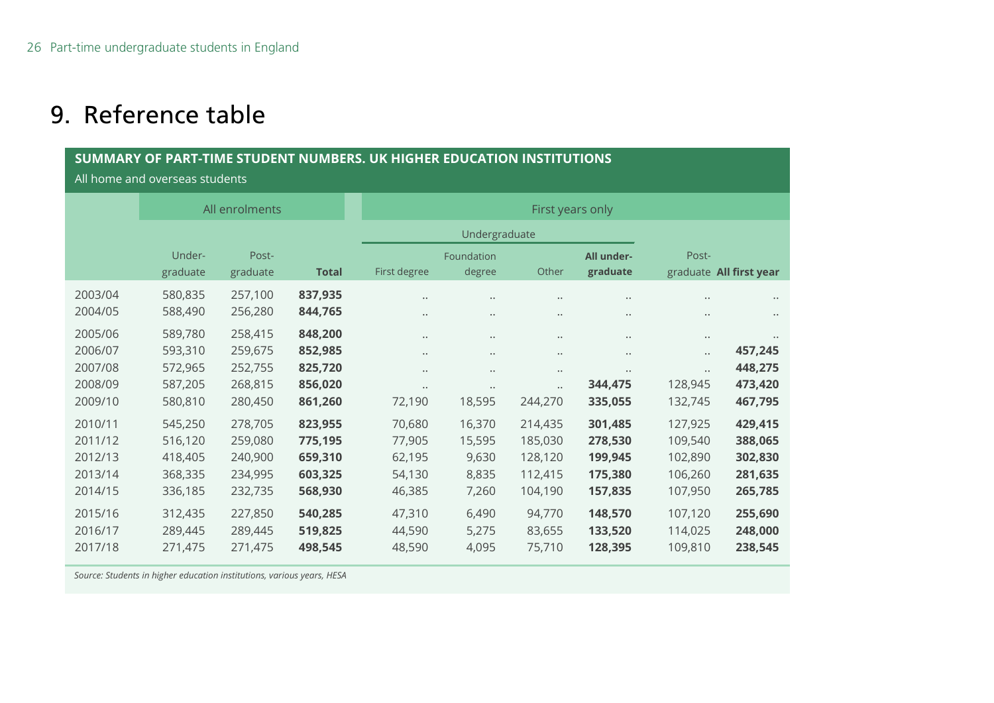## 9. Reference table

#### **SUMMARY OF PART-TIME STUDENT NUMBERS. UK HIGHER EDUCATION INSTITUTIONS**

All home and overseas students

|         | All enrolments |          | First years only |                      |                      |                      |                      |                      |                         |
|---------|----------------|----------|------------------|----------------------|----------------------|----------------------|----------------------|----------------------|-------------------------|
|         |                |          |                  | Undergraduate        |                      |                      |                      |                      |                         |
|         | Under-         | Post-    |                  |                      | Foundation           |                      | All under-           | Post-                |                         |
|         | graduate       | graduate | <b>Total</b>     | First degree         | degree               | Other                | graduate             |                      | graduate All first year |
| 2003/04 | 580,835        | 257,100  | 837,935          | $\ddot{\phantom{0}}$ | $\ddot{\phantom{a}}$ | $\cdots$             | $\cdots$             | $\bullet$ $\bullet$  | $\ddot{\phantom{a}}$    |
| 2004/05 | 588,490        | 256,280  | 844,765          | $\bullet$ $\bullet$  | $\ldots$             | $\cdots$             | $\bullet$ $\bullet$  | $\ldots$             |                         |
| 2005/06 | 589,780        | 258,415  | 848,200          | $\ddot{\phantom{0}}$ | $\ddot{\phantom{a}}$ | $\ddot{\phantom{a}}$ | $\ddot{\phantom{0}}$ | $\ldots$             |                         |
| 2006/07 | 593,310        | 259,675  | 852,985          | $\ddot{\phantom{0}}$ | $\ddot{\phantom{a}}$ | $\ddot{\phantom{a}}$ | $\cdots$             | $\ddotsc$            | 457,245                 |
| 2007/08 | 572,965        | 252,755  | 825,720          | $\bullet$ $\bullet$  | $\ddot{\phantom{a}}$ | $\ddot{\phantom{a}}$ | $\cdots$             | $\ddot{\phantom{a}}$ | 448,275                 |
| 2008/09 | 587,205        | 268,815  | 856,020          | $\ddot{\phantom{a}}$ | $\ddotsc$            | $\ddotsc$            | 344,475              | 128,945              | 473,420                 |
| 2009/10 | 580,810        | 280,450  | 861,260          | 72,190               | 18,595               | 244,270              | 335,055              | 132,745              | 467,795                 |
| 2010/11 | 545,250        | 278,705  | 823,955          | 70,680               | 16,370               | 214,435              | 301,485              | 127,925              | 429,415                 |
| 2011/12 | 516,120        | 259,080  | 775,195          | 77,905               | 15,595               | 185,030              | 278,530              | 109,540              | 388,065                 |
| 2012/13 | 418,405        | 240,900  | 659,310          | 62,195               | 9,630                | 128,120              | 199,945              | 102,890              | 302,830                 |
| 2013/14 | 368,335        | 234,995  | 603,325          | 54,130               | 8,835                | 112,415              | 175,380              | 106,260              | 281,635                 |
| 2014/15 | 336,185        | 232,735  | 568,930          | 46,385               | 7,260                | 104,190              | 157,835              | 107,950              | 265,785                 |
| 2015/16 | 312,435        | 227,850  | 540,285          | 47,310               | 6,490                | 94,770               | 148,570              | 107,120              | 255,690                 |
| 2016/17 | 289,445        | 289,445  | 519,825          | 44,590               | 5,275                | 83,655               | 133,520              | 114,025              | 248,000                 |
| 2017/18 | 271,475        | 271,475  | 498,545          | 48,590               | 4,095                | 75,710               | 128,395              | 109,810              | 238,545                 |

<span id="page-25-0"></span>*Source: Students in higher education institutions, various years, HESA*